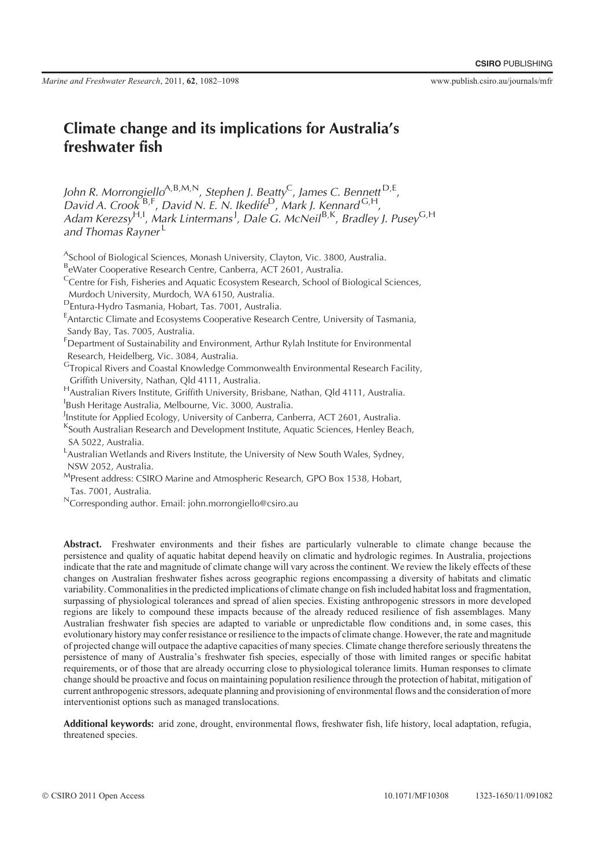# Climate change and its implications for Australia's freshwater fish

John R. Morrongiello $^{\mathsf{A},\mathsf{B},\mathsf{M},\mathsf{N}},$  Stephen J. Beatty $^{\mathsf{C}}$ , James C. Bennett $^{\mathsf{D},\mathsf{E}},$ David A. Crook  ${}^{B,F}$ , David N. E. N. Ikedife ${}^{D}$ , Mark J. Kennard  ${}^{G,H}$ , Adam Kerezsy<sup>H,I</sup>, Mark Lintermans<sup>J</sup>, Dale G. McNeil<sup>B,K</sup>, Bradley J. Pusey<sup>G,H</sup> and Thomas Rayner <sup>L</sup>

<sup>A</sup>School of Biological Sciences, Monash University, Clayton, Vic. 3800, Australia.

BeWater Cooperative Research Centre, Canberra, ACT 2601, Australia.

<sup>C</sup>Centre for Fish, Fisheries and Aquatic Ecosystem Research, School of Biological Sciences, Murdoch University, Murdoch, WA 6150, Australia.

DEntura-Hydro Tasmania, Hobart, Tas. 7001, Australia.

<sup>E</sup> Antarctic Climate and Ecosystems Cooperative Research Centre, University of Tasmania, Sandy Bay, Tas. 7005, Australia.

<sup>F</sup>Department of Sustainability and Environment, Arthur Rylah Institute for Environmental Research, Heidelberg, Vic. 3084, Australia.

GTropical Rivers and Coastal Knowledge Commonwealth Environmental Research Facility, Griffith University, Nathan, Qld 4111, Australia.

HAustralian Rivers Institute, Griffith University, Brisbane, Nathan, Qld 4111, Australia. <sup>I</sup>Bush Heritage Australia, Melbourne, Vic. 3000, Australia.

<sup>J</sup>Institute for Applied Ecology, University of Canberra, Canberra, ACT 2601, Australia.

K<br>South Australian Research and Development Institute, Aquatic Sciences, Henley Beach, SA 5022, Australia.

<sup>L</sup>Australian Wetlands and Rivers Institute, the University of New South Wales, Sydney, NSW 2052, Australia.

MPresent address: CSIRO Marine and Atmospheric Research, GPO Box 1538, Hobart, Tas. 7001, Australia.

NCorresponding author. Email: john.morrongiello@csiro.au

Abstract. Freshwater environments and their fishes are particularly vulnerable to climate change because the persistence and quality of aquatic habitat depend heavily on climatic and hydrologic regimes. In Australia, projections indicate that the rate and magnitude of climate change will vary across the continent. We review the likely effects of these changes on Australian freshwater fishes across geographic regions encompassing a diversity of habitats and climatic variability. Commonalities in the predicted implications of climate change on fish included habitat loss and fragmentation, surpassing of physiological tolerances and spread of alien species. Existing anthropogenic stressors in more developed regions are likely to compound these impacts because of the already reduced resilience of fish assemblages. Many Australian freshwater fish species are adapted to variable or unpredictable flow conditions and, in some cases, this evolutionary history may confer resistance or resilience to the impacts of climate change. However, the rate and magnitude of projected change will outpace the adaptive capacities of many species. Climate change therefore seriously threatens the persistence of many of Australia's freshwater fish species, especially of those with limited ranges or specific habitat requirements, or of those that are already occurring close to physiological tolerance limits. Human responses to climate change should be proactive and focus on maintaining population resilience through the protection of habitat, mitigation of current anthropogenic stressors, adequate planning and provisioning of environmental flows and the consideration of more interventionist options such as managed translocations.

Additional keywords: arid zone, drought, environmental flows, freshwater fish, life history, local adaptation, refugia, threatened species.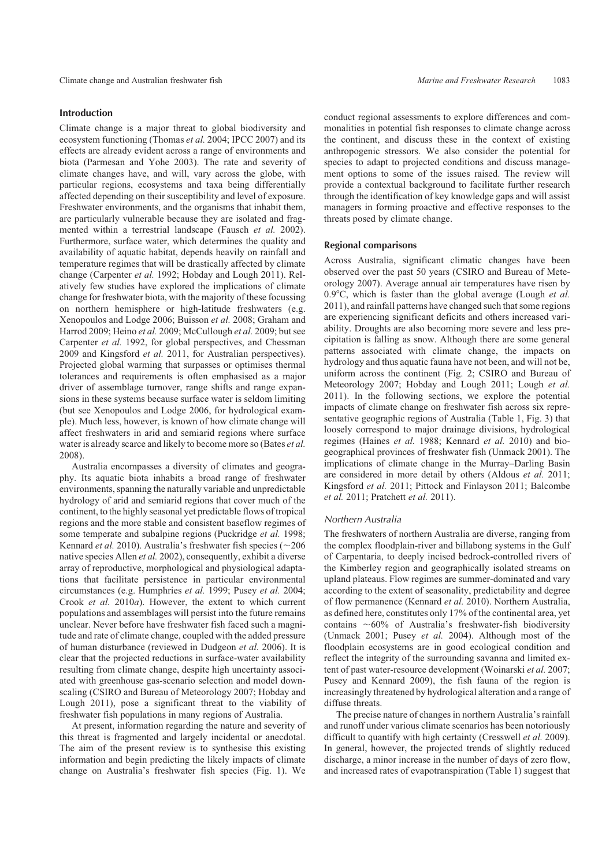Climate change and Australian freshwater fish *Marine and Freshwater Research* 1083

## Introduction

Climate change is a major threat to global biodiversity and ecosystem functioning (Thomas *et al.* 2004; IPCC 2007) and its effects are already evident across a range of environments and biota (Parmesan and Yohe 2003). The rate and severity of climate changes have, and will, vary across the globe, with particular regions, ecosystems and taxa being differentially affected depending on their susceptibility and level of exposure. Freshwater environments, and the organisms that inhabit them, are particularly vulnerable because they are isolated and fragmented within a terrestrial landscape (Fausch *et al.* 2002). Furthermore, surface water, which determines the quality and availability of aquatic habitat, depends heavily on rainfall and temperature regimes that will be drastically affected by climate change (Carpenter *et al.* 1992; Hobday and Lough 2011). Relatively few studies have explored the implications of climate change for freshwater biota, with the majority of these focussing on northern hemisphere or high-latitude freshwaters (e.g. Xenopoulos and Lodge 2006; Buisson *et al.* 2008; Graham and Harrod 2009; Heino *et al.* 2009; McCullough *et al.* 2009; but see Carpenter *et al.* 1992, for global perspectives, and Chessman 2009 and Kingsford *et al.* 2011, for Australian perspectives). Projected global warming that surpasses or optimises thermal tolerances and requirements is often emphasised as a major driver of assemblage turnover, range shifts and range expansions in these systems because surface water is seldom limiting (but see Xenopoulos and Lodge 2006, for hydrological example). Much less, however, is known of how climate change will affect freshwaters in arid and semiarid regions where surface water is already scarce and likely to become more so (Bates *et al.* 2008).

Australia encompasses a diversity of climates and geography. Its aquatic biota inhabits a broad range of freshwater environments, spanning the naturally variable and unpredictable hydrology of arid and semiarid regions that cover much of the continent, to the highly seasonal yet predictable flows of tropical regions and the more stable and consistent baseflow regimes of some temperate and subalpine regions (Puckridge *et al.* 1998; Kennard *et al.* 2010). Australia's freshwater fish species ( $\sim$ 206 native species Allen *et al.* 2002), consequently, exhibit a diverse array of reproductive, morphological and physiological adaptations that facilitate persistence in particular environmental circumstances (e.g. Humphries *et al.* 1999; Pusey *et al.* 2004; Crook *et al.* 2010*a*). However, the extent to which current populations and assemblages will persist into the future remains unclear. Never before have freshwater fish faced such a magnitude and rate of climate change, coupled with the added pressure of human disturbance (reviewed in Dudgeon *et al.* 2006). It is clear that the projected reductions in surface-water availability resulting from climate change, despite high uncertainty associated with greenhouse gas-scenario selection and model downscaling (CSIRO and Bureau of Meteorology 2007; Hobday and Lough 2011), pose a significant threat to the viability of freshwater fish populations in many regions of Australia.

At present, information regarding the nature and severity of this threat is fragmented and largely incidental or anecdotal. The aim of the present review is to synthesise this existing information and begin predicting the likely impacts of climate change on Australia's freshwater fish species (Fig. 1). We

conduct regional assessments to explore differences and commonalities in potential fish responses to climate change across the continent, and discuss these in the context of existing anthropogenic stressors. We also consider the potential for species to adapt to projected conditions and discuss management options to some of the issues raised. The review will provide a contextual background to facilitate further research through the identification of key knowledge gaps and will assist managers in forming proactive and effective responses to the threats posed by climate change.

## Regional comparisons

Across Australia, significant climatic changes have been observed over the past 50 years (CSIRO and Bureau of Meteorology 2007). Average annual air temperatures have risen by 0.98C, which is faster than the global average (Lough *et al.* 2011), and rainfall patterns have changed such that some regions are experiencing significant deficits and others increased variability. Droughts are also becoming more severe and less precipitation is falling as snow. Although there are some general patterns associated with climate change, the impacts on hydrology and thus aquatic fauna have not been, and will not be, uniform across the continent (Fig. 2; CSIRO and Bureau of Meteorology 2007; Hobday and Lough 2011; Lough *et al.* 2011). In the following sections, we explore the potential impacts of climate change on freshwater fish across six representative geographic regions of Australia (Table 1, Fig. 3) that loosely correspond to major drainage divisions, hydrological regimes (Haines *et al.* 1988; Kennard *et al.* 2010) and biogeographical provinces of freshwater fish (Unmack 2001). The implications of climate change in the Murray–Darling Basin are considered in more detail by others (Aldous *et al.* 2011; Kingsford *et al.* 2011; Pittock and Finlayson 2011; Balcombe *et al.* 2011; Pratchett *et al.* 2011).

### Northern Australia

The freshwaters of northern Australia are diverse, ranging from the complex floodplain-river and billabong systems in the Gulf of Carpentaria, to deeply incised bedrock-controlled rivers of the Kimberley region and geographically isolated streams on upland plateaus. Flow regimes are summer-dominated and vary according to the extent of seasonality, predictability and degree of flow permanence (Kennard *et al.* 2010). Northern Australia, as defined here, constitutes only 17% of the continental area, yet contains  $~60\%$  of Australia's freshwater-fish biodiversity (Unmack 2001; Pusey *et al.* 2004). Although most of the floodplain ecosystems are in good ecological condition and reflect the integrity of the surrounding savanna and limited extent of past water-resource development (Woinarski *et al.* 2007; Pusey and Kennard 2009), the fish fauna of the region is increasingly threatened by hydrological alteration and a range of diffuse threats.

The precise nature of changes in northern Australia's rainfall and runoff under various climate scenarios has been notoriously difficult to quantify with high certainty (Cresswell *et al.* 2009). In general, however, the projected trends of slightly reduced discharge, a minor increase in the number of days of zero flow, and increased rates of evapotranspiration (Table 1) suggest that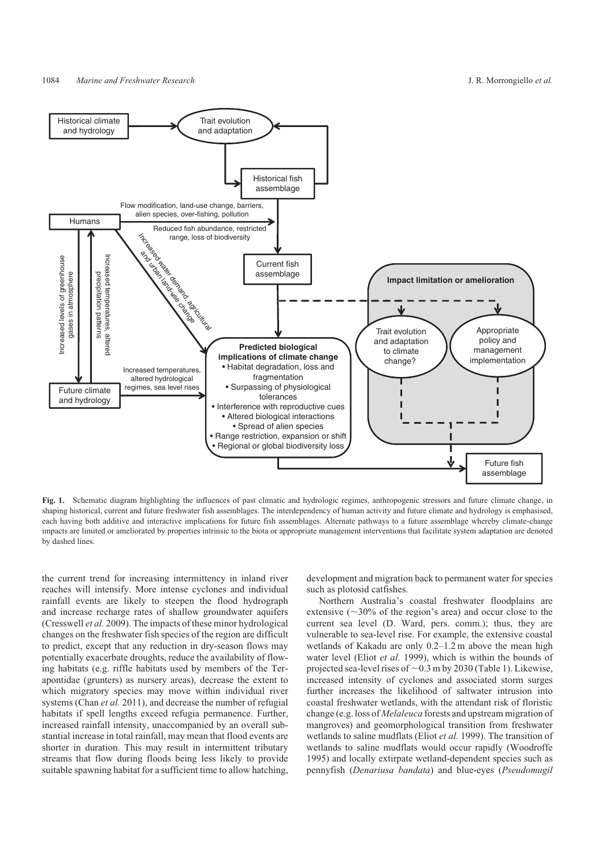

Fig. 1. Schematic diagram highlighting the influences of past climatic and hydrologic regimes, anthropogenic stressors and future climate change, in shaping historical, current and future freshwater fish assemblages. The interdependency of human activity and future climate and hydrology is emphasised, each having both additive and interactive implications for future fish assemblages. Alternate pathways to a future assemblage whereby climate-change impacts are limited or ameliorated by properties intrinsic to the biota or appropriate management interventions that facilitate system adaptation are denoted by dashed lines.

the current trend for increasing intermittency in inland river reaches will intensify. More intense cyclones and individual rainfall events are likely to steepen the flood hydrograph and increase recharge rates of shallow groundwater aquifers (Cresswell *et al.* 2009). The impacts of these minor hydrological changes on the freshwater fish species of the region are difficult to predict, except that any reduction in dry-season flows may potentially exacerbate droughts, reduce the availability of flowing habitats (e.g. riffle habitats used by members of the Terapontidae (grunters) as nursery areas), decrease the extent to which migratory species may move within individual river systems (Chan *et al.* 2011), and decrease the number of refugial habitats if spell lengths exceed refugia permanence. Further, increased rainfall intensity, unaccompanied by an overall substantial increase in total rainfall, may mean that flood events are shorter in duration. This may result in intermittent tributary streams that flow during floods being less likely to provide suitable spawning habitat for a sufficient time to allow hatching,

development and migration back to permanent water for species such as plotosid catfishes.

Northern Australia's coastal freshwater floodplains are extensive  $(\sim30\%$  of the region's area) and occur close to the current sea level (D. Ward, pers. comm.); thus, they are vulnerable to sea-level rise. For example, the extensive coastal wetlands of Kakadu are only 0.2–1.2 m above the mean high water level (Eliot *et al.* 1999), which is within the bounds of projected sea-level rises of  $\sim$  0.3 m by 2030 (Table 1). Likewise, increased intensity of cyclones and associated storm surges further increases the likelihood of saltwater intrusion into coastal freshwater wetlands, with the attendant risk of floristic change (e.g. loss of *Melaleuca* forests and upstream migration of mangroves) and geomorphological transition from freshwater wetlands to saline mudflats (Eliot *et al.* 1999). The transition of wetlands to saline mudflats would occur rapidly (Woodroffe 1995) and locally extirpate wetland-dependent species such as pennyfish (*Denariusa bandata*) and blue-eyes (*Pseudomugil*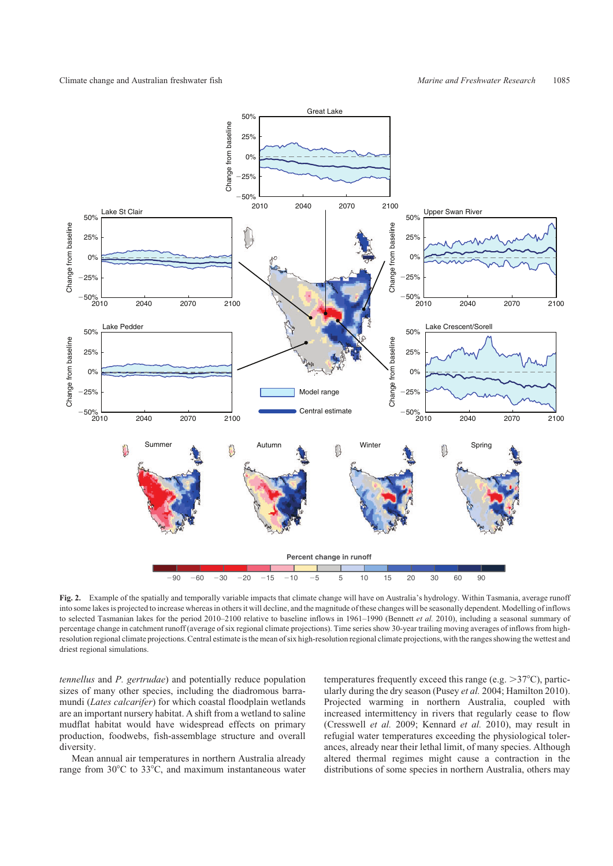

**Fig. 2.** Example of the spatially and temporally variable impacts that climate change will have on Australia's hydrology. Within Tasmania, average runoff into some lakes is projected to increase whereas in others it will decline, and the magnitude of these changes will be seasonally dependent. Modelling of inflows to selected Tasmanian lakes for the period 2010–2100 relative to baseline inflows in 1961–1990 (Bennett *et al.* 2010), including a seasonal summary of percentage change in catchment runoff (average of six regional climate projections). Time series show 30-year trailing moving averages of inflows from highresolution regional climate projections. Central estimate is the mean of six high-resolution regional climate projections, with the ranges showing the wettest and driest regional simulations.

*tennellus* and *P. gertrudae*) and potentially reduce population sizes of many other species, including the diadromous barramundi (*Lates calcarifer*) for which coastal floodplain wetlands are an important nursery habitat. A shift from a wetland to saline mudflat habitat would have widespread effects on primary production, foodwebs, fish-assemblage structure and overall diversity.

Mean annual air temperatures in northern Australia already range from  $30^{\circ}$ C to  $33^{\circ}$ C, and maximum instantaneous water temperatures frequently exceed this range (e.g.  $>37^{\circ}$ C), particularly during the dry season (Pusey *et al.* 2004; Hamilton 2010). Projected warming in northern Australia, coupled with increased intermittency in rivers that regularly cease to flow (Cresswell *et al.* 2009; Kennard *et al.* 2010), may result in refugial water temperatures exceeding the physiological tolerances, already near their lethal limit, of many species. Although altered thermal regimes might cause a contraction in the distributions of some species in northern Australia, others may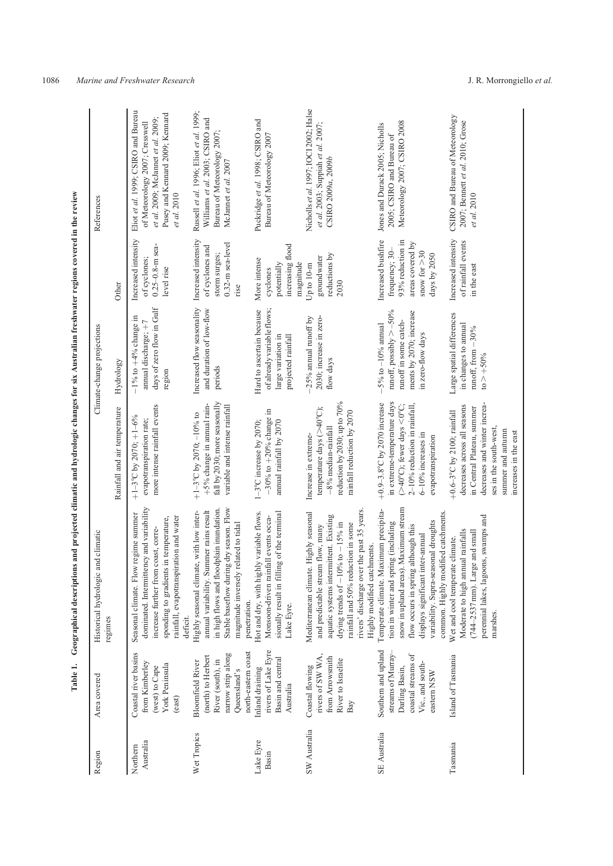| Region                | Area covered                                                                                                                    | Historical hydrologic and climatic<br>regimes                                                                                                                                                                                                                                    |                                                                                                                                                                                                    | Climate-change projections                                                                                                    |                                                                                                                | References                                                                                                                                                    |
|-----------------------|---------------------------------------------------------------------------------------------------------------------------------|----------------------------------------------------------------------------------------------------------------------------------------------------------------------------------------------------------------------------------------------------------------------------------|----------------------------------------------------------------------------------------------------------------------------------------------------------------------------------------------------|-------------------------------------------------------------------------------------------------------------------------------|----------------------------------------------------------------------------------------------------------------|---------------------------------------------------------------------------------------------------------------------------------------------------------------|
|                       |                                                                                                                                 |                                                                                                                                                                                                                                                                                  | Rainfall and air temperature                                                                                                                                                                       | Hydrology                                                                                                                     | Other                                                                                                          |                                                                                                                                                               |
| Australia<br>Northern | Coastal river basins<br>from Kimberley<br>York Peninsula<br>(west) to Cape<br>(east)                                            | dominated. Intermittency and variability<br>Seasonal climate. Flow regime summer<br>rainfall, evapotranspiration and water<br>sponding to gradients in temperature,<br>increase further from coast, corre-<br>deficit.                                                           | more intense rainfall events<br>$+1-3$ °C by 2070; $+1-6%$<br>evapotranspiration rate;                                                                                                             | days of zero flow in Gulf<br>$-1\%$ to $+4\%$ change in<br>annual discharge; +7<br>region                                     | Increased intensity<br>$0.25 - 0.8 - m$ sea-<br>of cyclones;<br>level rise                                     | Eliot et al. 1999; CSIRO and Bureau<br>Pusey and Kennard 2009; Kennard<br>et al. 2009; McJannet et al. 2009;<br>of Meteorology 2007; Cresswell<br>et al. 2010 |
| Wet Tropics           | north-eastern coast<br>narrow strip along<br>(north) to Herbert<br>River (south), in<br><b>Bloomfield River</b><br>Queensland's | Stable baseflow during dry season. Flow<br>in high flows and floodplain inundation.<br>Highly seasonal climate, with low inter-<br>annual variability. Summer rains result<br>magnitude inversely related to tidal<br>penetration.                                               | fall by 2030; more seasonally<br>+5% change in annual rain-<br>variable and intense rainfall<br>$+1-3$ °C by 2070; -10% to                                                                         | Increased flow seasonality<br>and duration of low-flow<br>periods                                                             | Increased intensity<br>$0.32$ -m sea-level<br>of cyclones and<br>storm surges;<br>rise                         | Russell et al. 1996; Eliot et al. 1999;<br>Williams et al. 2003; CSIRO and<br>Bureau of Meteorology 2007;<br>McJannet et al. 2007                             |
| Lake Eyre<br>Basin    | rivers of Lake Eyre<br>Basin and central<br>Inland draining<br>Australia                                                        | Hot and dry, with highly variable flows.<br>sionally result in filling of the terminal<br>Monsoon-driven rainfall events occa-<br>Lake Eyre.                                                                                                                                     | $-30%$ to $+20%$ change in<br>annual rainfall by 2070<br>1-3°C increase by 2070;                                                                                                                   | of already variable flows;<br>Hard to ascertain because<br>projected rainfall<br>large variation in                           | increasing flood<br>More intense<br>potentially<br>magnitude<br>cyclones                                       | Puckridge et al. 1998; CSIRO and<br>Bureau of Meteorology 2007                                                                                                |
| SW Australia          | rivers of SW WA,<br>from Arrowsmith<br>River to Israelite<br>Coastal flowing<br>$_{\rm Bay}$                                    | rivers' discharge over the past 35 years<br>Mediterranean climate. Highly seasonal<br>aquatic systems intermittent. Existing<br>drying trends of $-10\%$ to $-15\%$ in<br>rainfall and 50% reduction in some<br>and predictable stream flow, many<br>Highly modified catchments. | reduction by 2030; up to 70%<br>temperature days (>40°C);<br>rainfall reduction by 2070<br>$-8%$ median-rainfall<br>Increase in extreme-                                                           | 2030; increase in zero-<br>$-25%$ amual runoff by<br>flow days                                                                | reductions by<br>groundwater<br>Up to 10-m<br>2030                                                             | Nicholls et al. 1997; IOC12002; Halse<br>et al. 2003; Suppiah et al. 2007;<br>CSIRO 2009a, 2009b                                                              |
| <b>SE</b> Australia   | Southern and upland<br>streams of Murray-<br>coastal streams of<br>Vic., and south-<br>Darling Basin,<br>eastern NSW            | snow in upland areas). Maximum stream<br>Temperate climate. Maximum precipita-<br>common. Highly modified catchments<br>variability. Supra-seasonal droughts<br>tion in winter and spring (including<br>flow occurs in spring although this<br>displays significant inter-annual | in extreme-temperature days<br>$+0.9 - 3.8$ °C by 2070 increase<br>$(>40^{\circ}C)$ ; fewer days <0°C;<br>2-10% reduction in rainfall,<br>$6-10%$ increases in<br>evapotranspiration               | runoff, possibly $> -50\%$<br>ments by 2070; increase<br>runoff in some catch-<br>$-5%$ to $-10%$ annual<br>in zero-flow days | Increased bushfire<br>93% reduction in<br>areas covered by<br>frequency; 30-<br>snow for $>30$<br>days by 2050 | Meteorology 2007; CSIRO 2008<br>Jones and Durack 2005; Nicholls<br>2005; CSIRO and Bureau of                                                                  |
| Tasmania              | Island of Tasmania                                                                                                              | perennial lakes, lagoons, swamps and<br>Moderate to high annual rainfalls<br>$(744 - 2537$ mm). Large and small<br>Wet and cool temperate climate.<br>marshes                                                                                                                    | decreases and winter increa-<br>decreases across all seasons<br>in Central Plateau, summer<br>$+0.6-3$ °C by 2100; rainfall<br>ses in the south-west<br>summer and autumn<br>increases in the east | Large spatial differences<br>in changes to annual<br>runoff, from -30%<br>$to > +50%$                                         | Increased intensity<br>of rainfall events<br>in the east                                                       | CSIRO and Bureau of Meteorology<br>2007; Bennett et al. 2010; Grose<br>et al. 2010                                                                            |

Table 1. Geographical descriptions and projected climatic and hydrologic changes for six Australian freshwater regions covered in the review Table 1. Geographical descriptions and projected climatic and hydrologic changes for six Australian freshwater regions covered in the review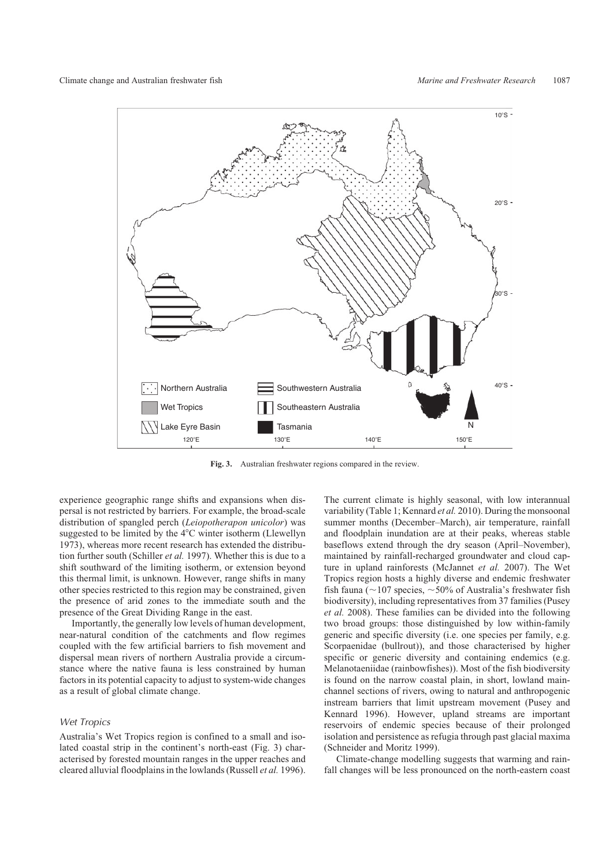

**Fig. 3.** Australian freshwater regions compared in the review.

experience geographic range shifts and expansions when dispersal is not restricted by barriers. For example, the broad-scale distribution of spangled perch (*Leiopotherapon unicolor*) was suggested to be limited by the  $4^{\circ}$ C winter isotherm (Llewellyn 1973), whereas more recent research has extended the distribution further south (Schiller *et al.* 1997). Whether this is due to a shift southward of the limiting isotherm, or extension beyond this thermal limit, is unknown. However, range shifts in many other species restricted to this region may be constrained, given the presence of arid zones to the immediate south and the presence of the Great Dividing Range in the east.

Importantly, the generally low levels of human development, near-natural condition of the catchments and flow regimes coupled with the few artificial barriers to fish movement and dispersal mean rivers of northern Australia provide a circumstance where the native fauna is less constrained by human factors in its potential capacity to adjust to system-wide changes as a result of global climate change.

# Wet Tropics

Australia's Wet Tropics region is confined to a small and isolated coastal strip in the continent's north-east (Fig. 3) characterised by forested mountain ranges in the upper reaches and cleared alluvial floodplains in the lowlands (Russell *et al.* 1996). The current climate is highly seasonal, with low interannual variability (Table 1; Kennard *et al.* 2010). During the monsoonal summer months (December–March), air temperature, rainfall and floodplain inundation are at their peaks, whereas stable baseflows extend through the dry season (April–November), maintained by rainfall-recharged groundwater and cloud capture in upland rainforests (McJannet *et al.* 2007). The Wet Tropics region hosts a highly diverse and endemic freshwater fish fauna ( $\sim$ 107 species,  $\sim$ 50% of Australia's freshwater fish biodiversity), including representatives from 37 families (Pusey *et al.* 2008). These families can be divided into the following two broad groups: those distinguished by low within-family generic and specific diversity (i.e. one species per family, e.g. Scorpaenidae (bullrout)), and those characterised by higher specific or generic diversity and containing endemics (e.g. Melanotaeniidae (rainbowfishes)). Most of the fish biodiversity is found on the narrow coastal plain, in short, lowland mainchannel sections of rivers, owing to natural and anthropogenic instream barriers that limit upstream movement (Pusey and Kennard 1996). However, upland streams are important reservoirs of endemic species because of their prolonged isolation and persistence as refugia through past glacial maxima (Schneider and Moritz 1999).

Climate-change modelling suggests that warming and rainfall changes will be less pronounced on the north-eastern coast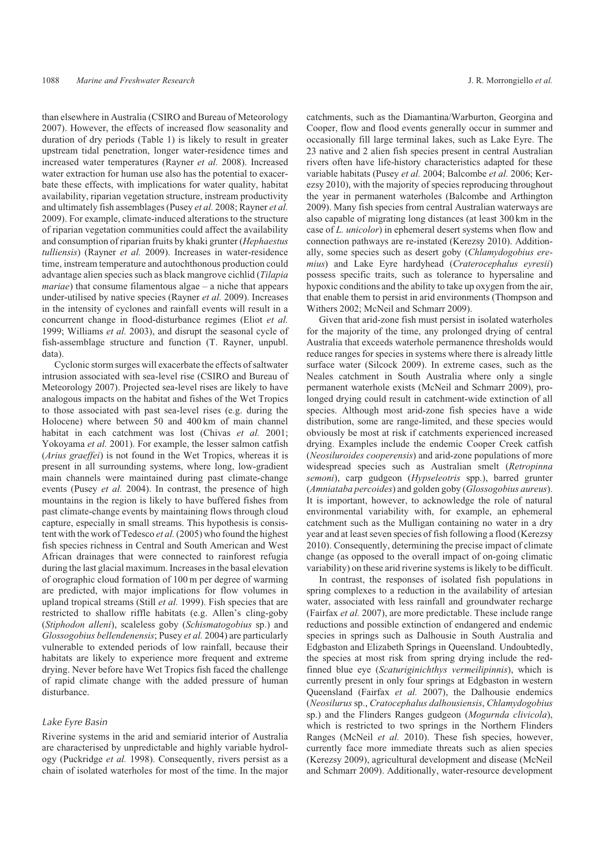than elsewhere in Australia (CSIRO and Bureau of Meteorology 2007). However, the effects of increased flow seasonality and duration of dry periods (Table 1) is likely to result in greater upstream tidal penetration, longer water-residence times and increased water temperatures (Rayner *et al.* 2008). Increased water extraction for human use also has the potential to exacerbate these effects, with implications for water quality, habitat availability, riparian vegetation structure, instream productivity and ultimately fish assemblages (Pusey *et al.* 2008; Rayner *et al.* 2009). For example, climate-induced alterations to the structure of riparian vegetation communities could affect the availability and consumption of riparian fruits by khaki grunter (*Hephaestus tulliensis*) (Rayner *et al.* 2009). Increases in water-residence time, instream temperature and autochthonous production could advantage alien species such as black mangrove cichlid (*Tilapia mariae*) that consume filamentous algae – a niche that appears under-utilised by native species (Rayner *et al.* 2009). Increases in the intensity of cyclones and rainfall events will result in a concurrent change in flood-disturbance regimes (Eliot *et al.* 1999; Williams *et al.* 2003), and disrupt the seasonal cycle of fish-assemblage structure and function (T. Rayner, unpubl. data).

Cyclonic storm surges will exacerbate the effects of saltwater intrusion associated with sea-level rise (CSIRO and Bureau of Meteorology 2007). Projected sea-level rises are likely to have analogous impacts on the habitat and fishes of the Wet Tropics to those associated with past sea-level rises (e.g. during the Holocene) where between 50 and 400 km of main channel habitat in each catchment was lost (Chivas *et al.* 2001; Yokoyama *et al.* 2001). For example, the lesser salmon catfish (*Arius graeffei*) is not found in the Wet Tropics, whereas it is present in all surrounding systems, where long, low-gradient main channels were maintained during past climate-change events (Pusey *et al.* 2004). In contrast, the presence of high mountains in the region is likely to have buffered fishes from past climate-change events by maintaining flows through cloud capture, especially in small streams. This hypothesis is consistent with the work of Tedesco *et al.*(2005) who found the highest fish species richness in Central and South American and West African drainages that were connected to rainforest refugia during the last glacial maximum. Increases in the basal elevation of orographic cloud formation of 100 m per degree of warming are predicted, with major implications for flow volumes in upland tropical streams (Still *et al.* 1999). Fish species that are restricted to shallow riffle habitats (e.g. Allen's cling-goby (*Stiphodon alleni*), scaleless goby (*Schismatogobius* sp.) and *Glossogobius bellendenensis*; Pusey *et al.* 2004) are particularly vulnerable to extended periods of low rainfall, because their habitats are likely to experience more frequent and extreme drying. Never before have Wet Tropics fish faced the challenge of rapid climate change with the added pressure of human disturbance.

# Lake Eyre Basin

Riverine systems in the arid and semiarid interior of Australia are characterised by unpredictable and highly variable hydrology (Puckridge *et al.* 1998). Consequently, rivers persist as a chain of isolated waterholes for most of the time. In the major catchments, such as the Diamantina/Warburton, Georgina and Cooper, flow and flood events generally occur in summer and occasionally fill large terminal lakes, such as Lake Eyre. The 23 native and 2 alien fish species present in central Australian rivers often have life-history characteristics adapted for these variable habitats (Pusey *et al.* 2004; Balcombe *et al.* 2006; Kerezsy 2010), with the majority of species reproducing throughout the year in permanent waterholes (Balcombe and Arthington 2009). Many fish species from central Australian waterways are also capable of migrating long distances (at least 300 km in the case of *L. unicolor*) in ephemeral desert systems when flow and connection pathways are re-instated (Kerezsy 2010). Additionally, some species such as desert goby (*Chlamydogobius eremius*) and Lake Eyre hardyhead (*Craterocephalus eyresii*) possess specific traits, such as tolerance to hypersaline and hypoxic conditions and the ability to take up oxygen from the air, that enable them to persist in arid environments (Thompson and Withers 2002; McNeil and Schmarr 2009).

Given that arid-zone fish must persist in isolated waterholes for the majority of the time, any prolonged drying of central Australia that exceeds waterhole permanence thresholds would reduce ranges for species in systems where there is already little surface water (Silcock 2009). In extreme cases, such as the Neales catchment in South Australia where only a single permanent waterhole exists (McNeil and Schmarr 2009), prolonged drying could result in catchment-wide extinction of all species. Although most arid-zone fish species have a wide distribution, some are range-limited, and these species would obviously be most at risk if catchments experienced increased drying. Examples include the endemic Cooper Creek catfish (*Neosiluroides cooperensis*) and arid-zone populations of more widespread species such as Australian smelt (*Retropinna semoni*), carp gudgeon (*Hypseleotris* spp.), barred grunter (*Amniataba percoides*) and golden goby (*Glossogobius aureus*). It is important, however, to acknowledge the role of natural environmental variability with, for example, an ephemeral catchment such as the Mulligan containing no water in a dry year and at least seven species of fish following a flood (Kerezsy 2010). Consequently, determining the precise impact of climate change (as opposed to the overall impact of on-going climatic variability) on these arid riverine systems is likely to be difficult.

In contrast, the responses of isolated fish populations in spring complexes to a reduction in the availability of artesian water, associated with less rainfall and groundwater recharge (Fairfax *et al.* 2007), are more predictable. These include range reductions and possible extinction of endangered and endemic species in springs such as Dalhousie in South Australia and Edgbaston and Elizabeth Springs in Queensland. Undoubtedly, the species at most risk from spring drying include the redfinned blue eye (*Scaturiginichthys vermeilipinnis*), which is currently present in only four springs at Edgbaston in western Queensland (Fairfax *et al.* 2007), the Dalhousie endemics (*Neosilurus* sp., *Cratocephalus dalhousiensis*, *Chlamydogobius* sp.) and the Flinders Ranges gudgeon (*Mogurnda clivicola*), which is restricted to two springs in the Northern Flinders Ranges (McNeil *et al.* 2010). These fish species, however, currently face more immediate threats such as alien species (Kerezsy 2009), agricultural development and disease (McNeil and Schmarr 2009). Additionally, water-resource development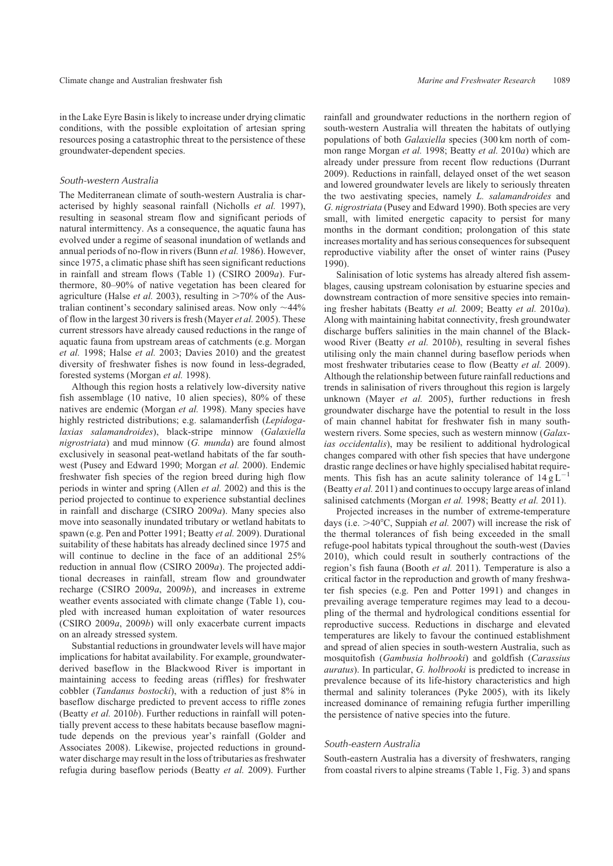in the Lake Eyre Basin is likely to increase under drying climatic conditions, with the possible exploitation of artesian spring resources posing a catastrophic threat to the persistence of these groundwater-dependent species.

## South-western Australia

The Mediterranean climate of south-western Australia is characterised by highly seasonal rainfall (Nicholls *et al.* 1997), resulting in seasonal stream flow and significant periods of natural intermittency. As a consequence, the aquatic fauna has evolved under a regime of seasonal inundation of wetlands and annual periods of no-flow in rivers (Bunn *et al.* 1986). However, since 1975, a climatic phase shift has seen significant reductions in rainfall and stream flows (Table 1) (CSIRO 2009*a*). Furthermore, 80–90% of native vegetation has been cleared for agriculture (Halse *et al.* 2003), resulting in  $>70\%$  of the Australian continent's secondary salinised areas. Now only  $\sim$ 44% of flow in the largest 30 rivers is fresh (Mayer *et al.* 2005). These current stressors have already caused reductions in the range of aquatic fauna from upstream areas of catchments (e.g. Morgan *et al.* 1998; Halse *et al.* 2003; Davies 2010) and the greatest diversity of freshwater fishes is now found in less-degraded, forested systems (Morgan *et al.* 1998).

Although this region hosts a relatively low-diversity native fish assemblage (10 native, 10 alien species), 80% of these natives are endemic (Morgan *et al.* 1998). Many species have highly restricted distributions; e.g. salamanderfish (*Lepidogalaxias salamandroides*), black-stripe minnow (*Galaxiella nigrostriata*) and mud minnow (*G. munda*) are found almost exclusively in seasonal peat-wetland habitats of the far southwest (Pusey and Edward 1990; Morgan *et al.* 2000). Endemic freshwater fish species of the region breed during high flow periods in winter and spring (Allen *et al.* 2002) and this is the period projected to continue to experience substantial declines in rainfall and discharge (CSIRO 2009*a*). Many species also move into seasonally inundated tributary or wetland habitats to spawn (e.g. Pen and Potter 1991; Beatty *et al.* 2009). Durational suitability of these habitats has already declined since 1975 and will continue to decline in the face of an additional 25% reduction in annual flow (CSIRO 2009*a*). The projected additional decreases in rainfall, stream flow and groundwater recharge (CSIRO 2009*a*, 2009*b*), and increases in extreme weather events associated with climate change (Table 1), coupled with increased human exploitation of water resources (CSIRO 2009*a*, 2009*b*) will only exacerbate current impacts on an already stressed system.

Substantial reductions in groundwater levels will have major implications for habitat availability. For example, groundwaterderived baseflow in the Blackwood River is important in maintaining access to feeding areas (riffles) for freshwater cobbler (*Tandanus bostocki*), with a reduction of just 8% in baseflow discharge predicted to prevent access to riffle zones (Beatty *et al.* 2010*b*). Further reductions in rainfall will potentially prevent access to these habitats because baseflow magnitude depends on the previous year's rainfall (Golder and Associates 2008). Likewise, projected reductions in groundwater discharge may result in the loss of tributaries as freshwater refugia during baseflow periods (Beatty *et al.* 2009). Further rainfall and groundwater reductions in the northern region of south-western Australia will threaten the habitats of outlying populations of both *Galaxiella* species (300 km north of common range Morgan *et al.* 1998; Beatty *et al.* 2010*a*) which are already under pressure from recent flow reductions (Durrant 2009). Reductions in rainfall, delayed onset of the wet season and lowered groundwater levels are likely to seriously threaten the two aestivating species, namely *L. salamandroides* and *G. nigrostriata* (Pusey and Edward 1990). Both species are very small, with limited energetic capacity to persist for many months in the dormant condition; prolongation of this state increases mortality and has serious consequences for subsequent reproductive viability after the onset of winter rains (Pusey 1990).

Salinisation of lotic systems has already altered fish assemblages, causing upstream colonisation by estuarine species and downstream contraction of more sensitive species into remaining fresher habitats (Beatty *et al.* 2009; Beatty *et al.* 2010*a*). Along with maintaining habitat connectivity, fresh groundwater discharge buffers salinities in the main channel of the Blackwood River (Beatty *et al.* 2010*b*), resulting in several fishes utilising only the main channel during baseflow periods when most freshwater tributaries cease to flow (Beatty *et al.* 2009). Although the relationship between future rainfall reductions and trends in salinisation of rivers throughout this region is largely unknown (Mayer *et al.* 2005), further reductions in fresh groundwater discharge have the potential to result in the loss of main channel habitat for freshwater fish in many southwestern rivers. Some species, such as western minnow (*Galaxias occidentalis*), may be resilient to additional hydrological changes compared with other fish species that have undergone drastic range declines or have highly specialised habitat requirements. This fish has an acute salinity tolerance of  $14 \text{ g L}^{-1}$ (Beatty *et al.* 2011) and continues to occupy large areas of inland salinised catchments (Morgan *et al.* 1998; Beatty *et al.* 2011).

Projected increases in the number of extreme-temperature days (i.e.  $>40^{\circ}$ C, Suppiah *et al.* 2007) will increase the risk of the thermal tolerances of fish being exceeded in the small refuge-pool habitats typical throughout the south-west (Davies 2010), which could result in southerly contractions of the region's fish fauna (Booth *et al.* 2011). Temperature is also a critical factor in the reproduction and growth of many freshwater fish species (e.g. Pen and Potter 1991) and changes in prevailing average temperature regimes may lead to a decoupling of the thermal and hydrological conditions essential for reproductive success. Reductions in discharge and elevated temperatures are likely to favour the continued establishment and spread of alien species in south-western Australia, such as mosquitofish (*Gambusia holbrooki*) and goldfish (*Carassius auratus*). In particular, *G. holbrooki* is predicted to increase in prevalence because of its life-history characteristics and high thermal and salinity tolerances (Pyke 2005), with its likely increased dominance of remaining refugia further imperilling the persistence of native species into the future.

## South-eastern Australia

South-eastern Australia has a diversity of freshwaters, ranging from coastal rivers to alpine streams (Table 1, Fig. 3) and spans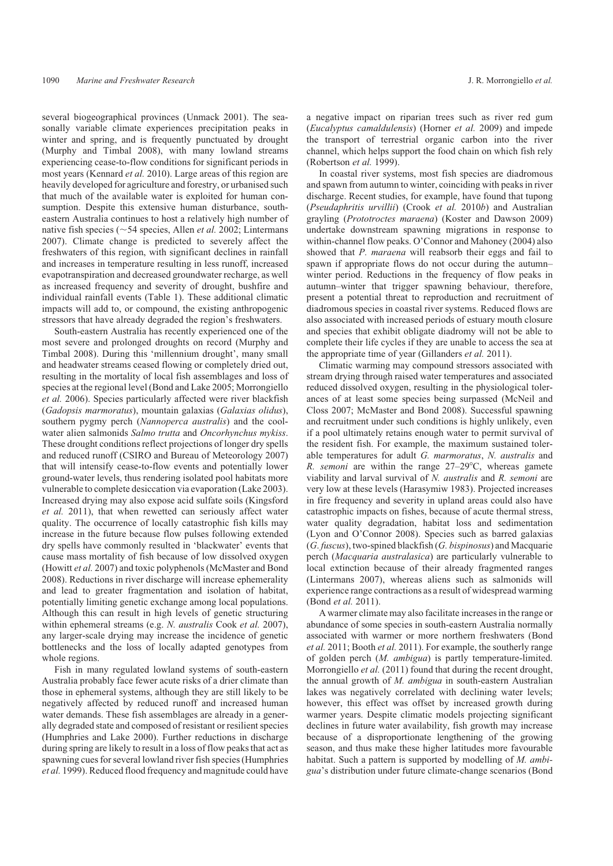several biogeographical provinces (Unmack 2001). The seasonally variable climate experiences precipitation peaks in winter and spring, and is frequently punctuated by drought (Murphy and Timbal 2008), with many lowland streams experiencing cease-to-flow conditions for significant periods in most years (Kennard *et al.* 2010). Large areas of this region are heavily developed for agriculture and forestry, or urbanised such that much of the available water is exploited for human consumption. Despite this extensive human disturbance, southeastern Australia continues to host a relatively high number of native fish species ( $\sim$  54 species, Allen *et al.* 2002; Lintermans 2007). Climate change is predicted to severely affect the freshwaters of this region, with significant declines in rainfall and increases in temperature resulting in less runoff, increased evapotranspiration and decreased groundwater recharge, as well as increased frequency and severity of drought, bushfire and individual rainfall events (Table 1). These additional climatic impacts will add to, or compound, the existing anthropogenic stressors that have already degraded the region's freshwaters.

South-eastern Australia has recently experienced one of the most severe and prolonged droughts on record (Murphy and Timbal 2008). During this 'millennium drought', many small and headwater streams ceased flowing or completely dried out, resulting in the mortality of local fish assemblages and loss of species at the regional level (Bond and Lake 2005; Morrongiello *et al.* 2006). Species particularly affected were river blackfish (*Gadopsis marmoratus*), mountain galaxias (*Galaxias olidus*), southern pygmy perch (*Nannoperca australis*) and the coolwater alien salmonids *Salmo trutta* and *Oncorhynchus mykiss*. These drought conditions reflect projections of longer dry spells and reduced runoff (CSIRO and Bureau of Meteorology 2007) that will intensify cease-to-flow events and potentially lower ground-water levels, thus rendering isolated pool habitats more vulnerable to complete desiccation via evaporation (Lake 2003). Increased drying may also expose acid sulfate soils (Kingsford *et al.* 2011), that when rewetted can seriously affect water quality. The occurrence of locally catastrophic fish kills may increase in the future because flow pulses following extended dry spells have commonly resulted in 'blackwater' events that cause mass mortality of fish because of low dissolved oxygen (Howitt *et al.* 2007) and toxic polyphenols (McMaster and Bond 2008). Reductions in river discharge will increase ephemerality and lead to greater fragmentation and isolation of habitat, potentially limiting genetic exchange among local populations. Although this can result in high levels of genetic structuring within ephemeral streams (e.g. *N. australis* Cook *et al.* 2007), any larger-scale drying may increase the incidence of genetic bottlenecks and the loss of locally adapted genotypes from whole regions.

Fish in many regulated lowland systems of south-eastern Australia probably face fewer acute risks of a drier climate than those in ephemeral systems, although they are still likely to be negatively affected by reduced runoff and increased human water demands. These fish assemblages are already in a generally degraded state and composed of resistant or resilient species (Humphries and Lake 2000). Further reductions in discharge during spring are likely to result in a loss of flow peaks that act as spawning cues for several lowland river fish species (Humphries *et al.* 1999). Reduced flood frequency and magnitude could have

a negative impact on riparian trees such as river red gum (*Eucalyptus camaldulensis*) (Horner *et al.* 2009) and impede the transport of terrestrial organic carbon into the river channel, which helps support the food chain on which fish rely (Robertson *et al.* 1999).

In coastal river systems, most fish species are diadromous and spawn from autumn to winter, coinciding with peaks in river discharge. Recent studies, for example, have found that tupong (*Pseudaphritis urvillii*) (Crook *et al.* 2010*b*) and Australian grayling (*Prototroctes maraena*) (Koster and Dawson 2009) undertake downstream spawning migrations in response to within-channel flow peaks. O'Connor and Mahoney (2004) also showed that *P. maraena* will reabsorb their eggs and fail to spawn if appropriate flows do not occur during the autumn– winter period. Reductions in the frequency of flow peaks in autumn–winter that trigger spawning behaviour, therefore, present a potential threat to reproduction and recruitment of diadromous species in coastal river systems. Reduced flows are also associated with increased periods of estuary mouth closure and species that exhibit obligate diadromy will not be able to complete their life cycles if they are unable to access the sea at the appropriate time of year (Gillanders *et al.* 2011).

Climatic warming may compound stressors associated with stream drying through raised water temperatures and associated reduced dissolved oxygen, resulting in the physiological tolerances of at least some species being surpassed (McNeil and Closs 2007; McMaster and Bond 2008). Successful spawning and recruitment under such conditions is highly unlikely, even if a pool ultimately retains enough water to permit survival of the resident fish. For example, the maximum sustained tolerable temperatures for adult *G. marmoratus*, *N. australis* and *R. semoni* are within the range 27-29°C, whereas gamete viability and larval survival of *N. australis* and *R. semoni* are very low at these levels (Harasymiw 1983). Projected increases in fire frequency and severity in upland areas could also have catastrophic impacts on fishes, because of acute thermal stress, water quality degradation, habitat loss and sedimentation (Lyon and O'Connor 2008). Species such as barred galaxias (*G*. *fuscus*), two-spined blackfish (*G. bispinosus*) and Macquarie perch (*Macquaria australasica*) are particularly vulnerable to local extinction because of their already fragmented ranges (Lintermans 2007), whereas aliens such as salmonids will experience range contractions as a result of widespread warming (Bond *et al.* 2011).

A warmer climate may also facilitate increases in the range or abundance of some species in south-eastern Australia normally associated with warmer or more northern freshwaters (Bond *et al.* 2011; Booth *et al.* 2011). For example, the southerly range of golden perch (*M. ambigua*) is partly temperature-limited. Morrongiello *et al.* (2011) found that during the recent drought, the annual growth of *M. ambigua* in south-eastern Australian lakes was negatively correlated with declining water levels; however, this effect was offset by increased growth during warmer years. Despite climatic models projecting significant declines in future water availability, fish growth may increase because of a disproportionate lengthening of the growing season, and thus make these higher latitudes more favourable habitat. Such a pattern is supported by modelling of *M. ambigua*'s distribution under future climate-change scenarios (Bond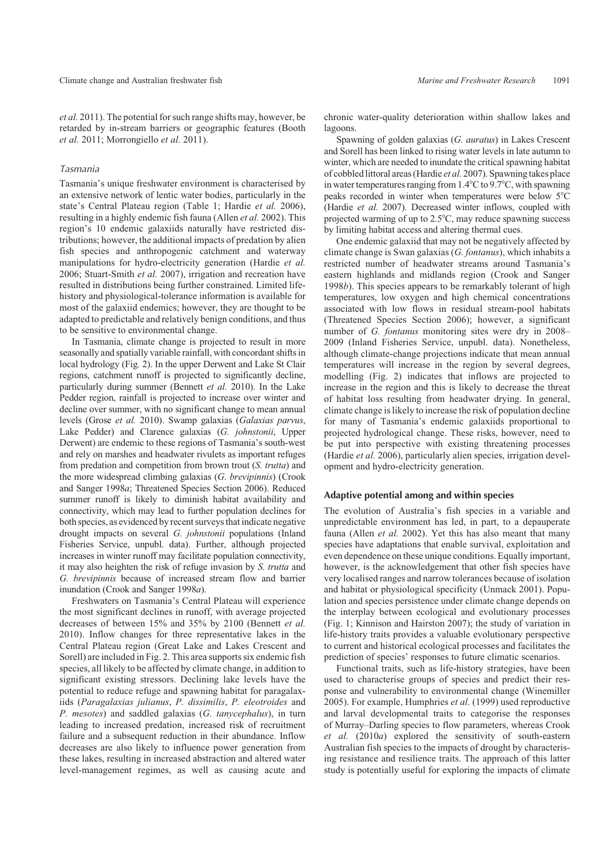Climate change and Australian freshwater fish *Marine and Freshwater Research* 1091

*et al.* 2011). The potential for such range shifts may, however, be retarded by in-stream barriers or geographic features (Booth *et al.* 2011; Morrongiello *et al.* 2011).

#### Tasmania

Tasmania's unique freshwater environment is characterised by an extensive network of lentic water bodies, particularly in the state's Central Plateau region (Table 1; Hardie *et al.* 2006), resulting in a highly endemic fish fauna (Allen *et al.* 2002). This region's 10 endemic galaxiids naturally have restricted distributions; however, the additional impacts of predation by alien fish species and anthropogenic catchment and waterway manipulations for hydro-electricity generation (Hardie *et al.* 2006; Stuart-Smith *et al.* 2007), irrigation and recreation have resulted in distributions being further constrained. Limited lifehistory and physiological-tolerance information is available for most of the galaxiid endemics; however, they are thought to be adapted to predictable and relatively benign conditions, and thus to be sensitive to environmental change.

In Tasmania, climate change is projected to result in more seasonally and spatially variable rainfall, with concordant shifts in local hydrology (Fig. 2). In the upper Derwent and Lake St Clair regions, catchment runoff is projected to significantly decline, particularly during summer (Bennett *et al.* 2010). In the Lake Pedder region, rainfall is projected to increase over winter and decline over summer, with no significant change to mean annual levels (Grose *et al.* 2010). Swamp galaxias (*Galaxias parvus*, Lake Pedder) and Clarence galaxias (*G. johnstonii*, Upper Derwent) are endemic to these regions of Tasmania's south-west and rely on marshes and headwater rivulets as important refuges from predation and competition from brown trout (*S. trutta*) and the more widespread climbing galaxias (*G. brevipinnis*) (Crook and Sanger 1998*a*; Threatened Species Section 2006). Reduced summer runoff is likely to diminish habitat availability and connectivity, which may lead to further population declines for both species, as evidenced by recent surveys that indicate negative drought impacts on several *G. johnstonii* populations (Inland Fisheries Service, unpubl. data). Further, although projected increases in winter runoff may facilitate population connectivity, it may also heighten the risk of refuge invasion by *S. trutta* and *G. brevipinnis* because of increased stream flow and barrier inundation (Crook and Sanger 1998*a*).

Freshwaters on Tasmania's Central Plateau will experience the most significant declines in runoff, with average projected decreases of between 15% and 35% by 2100 (Bennett *et al.* 2010). Inflow changes for three representative lakes in the Central Plateau region (Great Lake and Lakes Crescent and Sorell) are included in Fig. 2. This area supports six endemic fish species, all likely to be affected by climate change, in addition to significant existing stressors. Declining lake levels have the potential to reduce refuge and spawning habitat for paragalaxiids (*Paragalaxias julianus*, *P. dissimilis*, *P. eleotroides* and *P. mesotes*) and saddled galaxias (*G. tanycephalus*), in turn leading to increased predation, increased risk of recruitment failure and a subsequent reduction in their abundance. Inflow decreases are also likely to influence power generation from these lakes, resulting in increased abstraction and altered water level-management regimes, as well as causing acute and chronic water-quality deterioration within shallow lakes and lagoons.

Spawning of golden galaxias (*G. auratus*) in Lakes Crescent and Sorell has been linked to rising water levels in late autumn to winter, which are needed to inundate the critical spawning habitat of cobbled littoral areas (Hardie et al. 2007). Spawning takes place in water temperatures ranging from  $1.4^{\circ}$ C to  $9.7^{\circ}$ C, with spawning peaks recorded in winter when temperatures were below  $5^{\circ}$ C (Hardie *et al.* 2007). Decreased winter inflows, coupled with projected warming of up to 2.5°C, may reduce spawning success by limiting habitat access and altering thermal cues.

One endemic galaxiid that may not be negatively affected by climate change is Swan galaxias (*G. fontanus*), which inhabits a restricted number of headwater streams around Tasmania's eastern highlands and midlands region (Crook and Sanger 1998*b*). This species appears to be remarkably tolerant of high temperatures, low oxygen and high chemical concentrations associated with low flows in residual stream-pool habitats (Threatened Species Section 2006); however, a significant number of *G. fontanus* monitoring sites were dry in 2008– 2009 (Inland Fisheries Service, unpubl. data). Nonetheless, although climate-change projections indicate that mean annual temperatures will increase in the region by several degrees, modelling (Fig. 2) indicates that inflows are projected to increase in the region and this is likely to decrease the threat of habitat loss resulting from headwater drying. In general, climate change is likely to increase the risk of population decline for many of Tasmania's endemic galaxiids proportional to projected hydrological change. These risks, however, need to be put into perspective with existing threatening processes (Hardie *et al.* 2006), particularly alien species, irrigation development and hydro-electricity generation.

## Adaptive potential among and within species

The evolution of Australia's fish species in a variable and unpredictable environment has led, in part, to a depauperate fauna (Allen *et al.* 2002). Yet this has also meant that many species have adaptations that enable survival, exploitation and even dependence on these unique conditions. Equally important, however, is the acknowledgement that other fish species have very localised ranges and narrow tolerances because of isolation and habitat or physiological specificity (Unmack 2001). Population and species persistence under climate change depends on the interplay between ecological and evolutionary processes (Fig. 1; Kinnison and Hairston 2007); the study of variation in life-history traits provides a valuable evolutionary perspective to current and historical ecological processes and facilitates the prediction of species' responses to future climatic scenarios.

Functional traits, such as life-history strategies, have been used to characterise groups of species and predict their response and vulnerability to environmental change (Winemiller 2005). For example, Humphries *et al.* (1999) used reproductive and larval developmental traits to categorise the responses of Murray–Darling species to flow parameters, whereas Crook *et al.* (2010*a*) explored the sensitivity of south-eastern Australian fish species to the impacts of drought by characterising resistance and resilience traits. The approach of this latter study is potentially useful for exploring the impacts of climate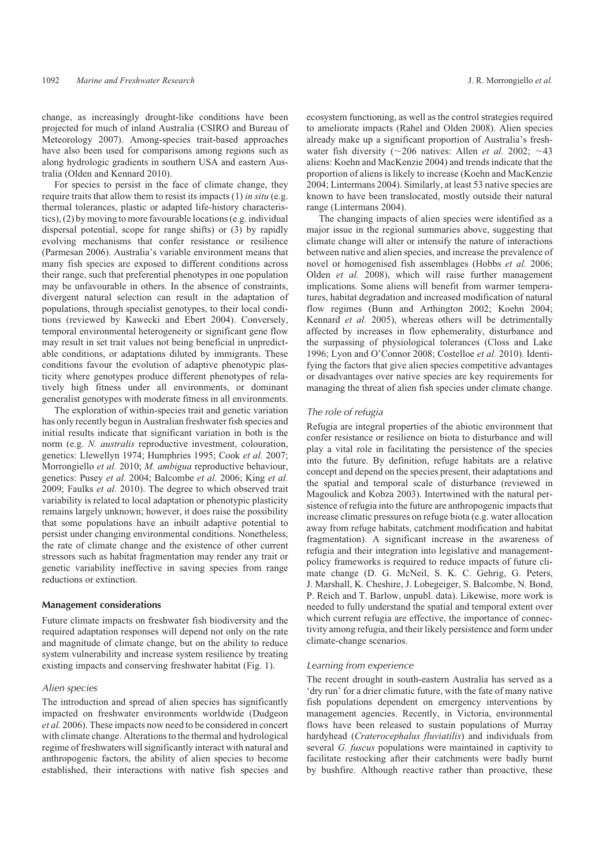change, as increasingly drought-like conditions have been projected for much of inland Australia (CSIRO and Bureau of Meteorology 2007). Among-species trait-based approaches have also been used for comparisons among regions such as along hydrologic gradients in southern USA and eastern Australia (Olden and Kennard 2010).

For species to persist in the face of climate change, they require traits that allow them to resist its impacts (1) *in situ* (e.g. thermal tolerances, plastic or adapted life-history characteristics), (2) by moving to more favourable locations (e.g. individual dispersal potential, scope for range shifts) or (3) by rapidly evolving mechanisms that confer resistance or resilience (Parmesan 2006). Australia's variable environment means that many fish species are exposed to different conditions across their range, such that preferential phenotypes in one population may be unfavourable in others. In the absence of constraints, divergent natural selection can result in the adaptation of populations, through specialist genotypes, to their local conditions (reviewed by Kawecki and Ebert 2004). Conversely, temporal environmental heterogeneity or significant gene flow may result in set trait values not being beneficial in unpredictable conditions, or adaptations diluted by immigrants. These conditions favour the evolution of adaptive phenotypic plasticity where genotypes produce different phenotypes of relatively high fitness under all environments, or dominant generalist genotypes with moderate fitness in all environments.

The exploration of within-species trait and genetic variation has only recently begun in Australian freshwater fish species and initial results indicate that significant variation in both is the norm (e.g. *N. australis* reproductive investment, colouration, genetics: Llewellyn 1974; Humphries 1995; Cook *et al.* 2007; Morrongiello *et al.* 2010; *M. ambigua* reproductive behaviour, genetics: Pusey *et al.* 2004; Balcombe *et al.* 2006; King *et al.* 2009; Faulks *et al.* 2010). The degree to which observed trait variability is related to local adaptation or phenotypic plasticity remains largely unknown; however, it does raise the possibility that some populations have an inbuilt adaptive potential to persist under changing environmental conditions. Nonetheless, the rate of climate change and the existence of other current stressors such as habitat fragmentation may render any trait or genetic variability ineffective in saving species from range reductions or extinction.

#### Management considerations

Future climate impacts on freshwater fish biodiversity and the required adaptation responses will depend not only on the rate and magnitude of climate change, but on the ability to reduce system vulnerability and increase system resilience by treating existing impacts and conserving freshwater habitat (Fig. 1).

#### Alien species

The introduction and spread of alien species has significantly impacted on freshwater environments worldwide (Dudgeon *et al.* 2006). These impacts now need to be considered in concert with climate change. Alterations to the thermal and hydrological regime of freshwaters will significantly interact with natural and anthropogenic factors, the ability of alien species to become established, their interactions with native fish species and ecosystem functioning, as well as the control strategies required to ameliorate impacts (Rahel and Olden 2008). Alien species already make up a significant proportion of Australia's freshwater fish diversity  $(\sim 206$  natives: Allen *et al.* 2002;  $\sim 43$ aliens: Koehn and MacKenzie 2004) and trends indicate that the proportion of aliens is likely to increase (Koehn and MacKenzie 2004; Lintermans 2004). Similarly, at least 53 native species are known to have been translocated, mostly outside their natural range (Lintermans 2004).

The changing impacts of alien species were identified as a major issue in the regional summaries above, suggesting that climate change will alter or intensify the nature of interactions between native and alien species, and increase the prevalence of novel or homogenised fish assemblages (Hobbs *et al.* 2006; Olden *et al.* 2008), which will raise further management implications. Some aliens will benefit from warmer temperatures, habitat degradation and increased modification of natural flow regimes (Bunn and Arthington 2002; Koehn 2004; Kennard *et al.* 2005), whereas others will be detrimentally affected by increases in flow ephemerality, disturbance and the surpassing of physiological tolerances (Closs and Lake 1996; Lyon and O'Connor 2008; Costelloe *et al.* 2010). Identifying the factors that give alien species competitive advantages or disadvantages over native species are key requirements for managing the threat of alien fish species under climate change.

## The role of refugia

Refugia are integral properties of the abiotic environment that confer resistance or resilience on biota to disturbance and will play a vital role in facilitating the persistence of the species into the future. By definition, refuge habitats are a relative concept and depend on the species present, their adaptations and the spatial and temporal scale of disturbance (reviewed in Magoulick and Kobza 2003). Intertwined with the natural persistence of refugia into the future are anthropogenic impacts that increase climatic pressures on refuge biota (e.g. water allocation away from refuge habitats, catchment modification and habitat fragmentation). A significant increase in the awareness of refugia and their integration into legislative and managementpolicy frameworks is required to reduce impacts of future climate change (D. G. McNeil, S. K. C. Gehrig, G. Peters, J. Marshall, K. Cheshire, J. Lobegeiger, S. Balcombe, N. Bond, P. Reich and T. Barlow, unpubl. data). Likewise, more work is needed to fully understand the spatial and temporal extent over which current refugia are effective, the importance of connectivity among refugia, and their likely persistence and form under climate-change scenarios.

#### Learning from experience

The recent drought in south-eastern Australia has served as a 'dry run' for a drier climatic future, with the fate of many native fish populations dependent on emergency interventions by management agencies. Recently, in Victoria, environmental flows have been released to sustain populations of Murray hardyhead (*Craterocephalus fluviatilis*) and individuals from several *G. fuscus* populations were maintained in captivity to facilitate restocking after their catchments were badly burnt by bushfire. Although reactive rather than proactive, these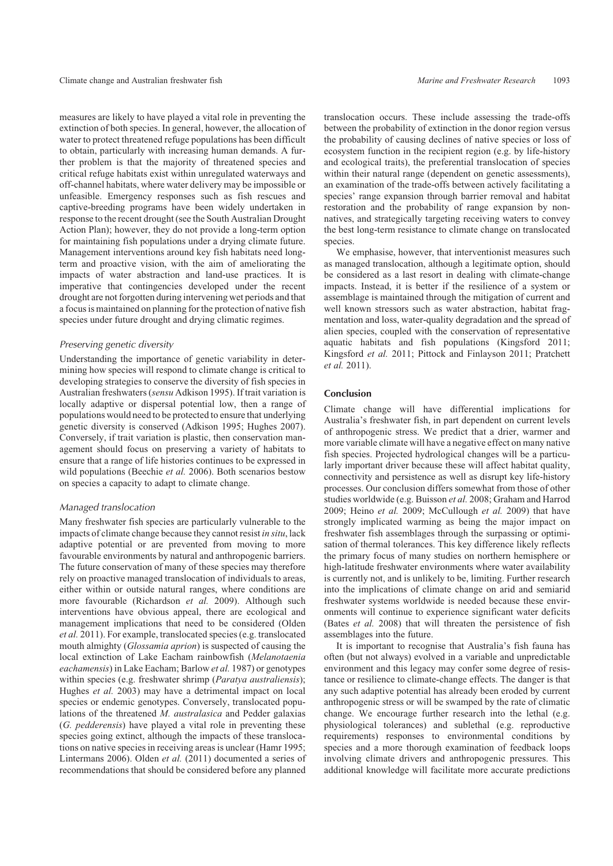measures are likely to have played a vital role in preventing the extinction of both species. In general, however, the allocation of water to protect threatened refuge populations has been difficult to obtain, particularly with increasing human demands. A further problem is that the majority of threatened species and critical refuge habitats exist within unregulated waterways and off-channel habitats, where water delivery may be impossible or unfeasible. Emergency responses such as fish rescues and captive-breeding programs have been widely undertaken in response to the recent drought (see the South Australian Drought Action Plan); however, they do not provide a long-term option for maintaining fish populations under a drying climate future. Management interventions around key fish habitats need longterm and proactive vision, with the aim of ameliorating the impacts of water abstraction and land-use practices. It is imperative that contingencies developed under the recent drought are not forgotten during intervening wet periods and that a focus is maintained on planning for the protection of native fish species under future drought and drying climatic regimes.

# Preserving genetic diversity

Understanding the importance of genetic variability in determining how species will respond to climate change is critical to developing strategies to conserve the diversity of fish species in Australian freshwaters (*sensu* Adkison 1995). If trait variation is locally adaptive or dispersal potential low, then a range of populations would need to be protected to ensure that underlying genetic diversity is conserved (Adkison 1995; Hughes 2007). Conversely, if trait variation is plastic, then conservation management should focus on preserving a variety of habitats to ensure that a range of life histories continues to be expressed in wild populations (Beechie *et al.* 2006). Both scenarios bestow on species a capacity to adapt to climate change.

#### Managed translocation

Many freshwater fish species are particularly vulnerable to the impacts of climate change because they cannot resist *in situ*, lack adaptive potential or are prevented from moving to more favourable environments by natural and anthropogenic barriers. The future conservation of many of these species may therefore rely on proactive managed translocation of individuals to areas, either within or outside natural ranges, where conditions are more favourable (Richardson *et al.* 2009). Although such interventions have obvious appeal, there are ecological and management implications that need to be considered (Olden *et al.* 2011). For example, translocated species (e.g. translocated mouth almighty (*Glossamia aprion*) is suspected of causing the local extinction of Lake Eacham rainbowfish (*Melanotaenia eachamensis*) in Lake Eacham; Barlow *et al.* 1987) or genotypes within species (e.g. freshwater shrimp (*Paratya australiensis*); Hughes *et al.* 2003) may have a detrimental impact on local species or endemic genotypes. Conversely, translocated populations of the threatened *M. australasica* and Pedder galaxias (*G. pedderensis*) have played a vital role in preventing these species going extinct, although the impacts of these translocations on native species in receiving areas is unclear (Hamr 1995; Lintermans 2006). Olden *et al.* (2011) documented a series of recommendations that should be considered before any planned translocation occurs. These include assessing the trade-offs between the probability of extinction in the donor region versus the probability of causing declines of native species or loss of ecosystem function in the recipient region (e.g. by life-history and ecological traits), the preferential translocation of species within their natural range (dependent on genetic assessments), an examination of the trade-offs between actively facilitating a species' range expansion through barrier removal and habitat restoration and the probability of range expansion by nonnatives, and strategically targeting receiving waters to convey the best long-term resistance to climate change on translocated species.

We emphasise, however, that interventionist measures such as managed translocation, although a legitimate option, should be considered as a last resort in dealing with climate-change impacts. Instead, it is better if the resilience of a system or assemblage is maintained through the mitigation of current and well known stressors such as water abstraction, habitat fragmentation and loss, water-quality degradation and the spread of alien species, coupled with the conservation of representative aquatic habitats and fish populations (Kingsford 2011; Kingsford *et al.* 2011; Pittock and Finlayson 2011; Pratchett *et al.* 2011).

# Conclusion

Climate change will have differential implications for Australia's freshwater fish, in part dependent on current levels of anthropogenic stress. We predict that a drier, warmer and more variable climate will have a negative effect on many native fish species. Projected hydrological changes will be a particularly important driver because these will affect habitat quality, connectivity and persistence as well as disrupt key life-history processes. Our conclusion differs somewhat from those of other studies worldwide (e.g. Buisson *et al.* 2008; Graham and Harrod 2009; Heino *et al.* 2009; McCullough *et al.* 2009) that have strongly implicated warming as being the major impact on freshwater fish assemblages through the surpassing or optimisation of thermal tolerances. This key difference likely reflects the primary focus of many studies on northern hemisphere or high-latitude freshwater environments where water availability is currently not, and is unlikely to be, limiting. Further research into the implications of climate change on arid and semiarid freshwater systems worldwide is needed because these environments will continue to experience significant water deficits (Bates *et al.* 2008) that will threaten the persistence of fish assemblages into the future.

It is important to recognise that Australia's fish fauna has often (but not always) evolved in a variable and unpredictable environment and this legacy may confer some degree of resistance or resilience to climate-change effects. The danger is that any such adaptive potential has already been eroded by current anthropogenic stress or will be swamped by the rate of climatic change. We encourage further research into the lethal (e.g. physiological tolerances) and sublethal (e.g. reproductive requirements) responses to environmental conditions by species and a more thorough examination of feedback loops involving climate drivers and anthropogenic pressures. This additional knowledge will facilitate more accurate predictions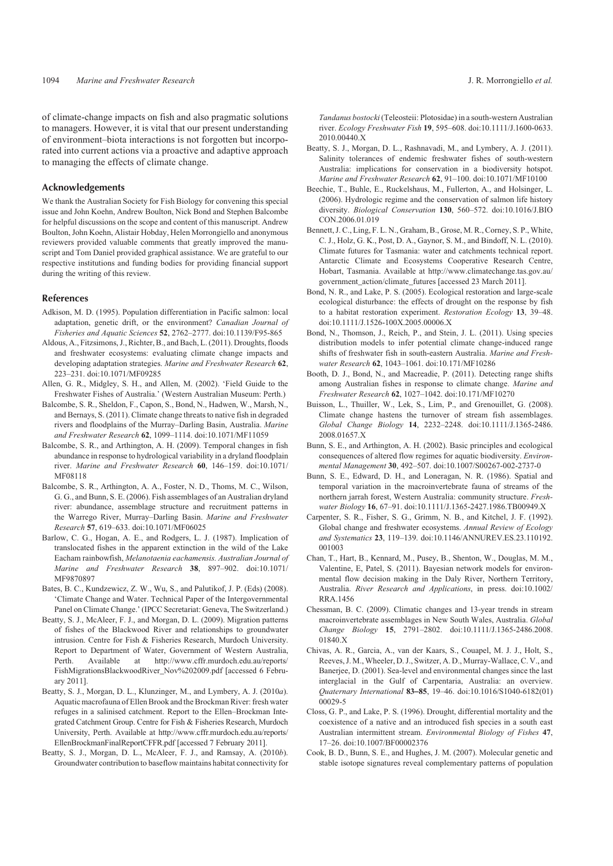of climate-change impacts on fish and also pragmatic solutions to managers. However, it is vital that our present understanding of environment–biota interactions is not forgotten but incorporated into current actions via a proactive and adaptive approach to managing the effects of climate change.

## Acknowledgements

We thank the Australian Society for Fish Biology for convening this special issue and John Koehn, Andrew Boulton, Nick Bond and Stephen Balcombe for helpful discussions on the scope and content of this manuscript. Andrew Boulton, John Koehn, Alistair Hobday, Helen Morrongiello and anonymous reviewers provided valuable comments that greatly improved the manuscript and Tom Daniel provided graphical assistance. We are grateful to our respective institutions and funding bodies for providing financial support during the writing of this review.

## References

- Adkison, M. D. (1995). Population differentiation in Pacific salmon: local adaptation, genetic drift, or the environment? *Canadian Journal of Fisheries and Aquatic Sciences* **52**, 2762–2777. doi:10.1139/F95-865
- Aldous, A., Fitzsimons, J., Richter, B., and Bach, L. (2011). Droughts, floods and freshwater ecosystems: evaluating climate change impacts and developing adaptation strategies. *Marine and Freshwater Research* **62**, 223–231. doi:10.1071/MF09285
- Allen, G. R., Midgley, S. H., and Allen, M. (2002). 'Field Guide to the Freshwater Fishes of Australia.' (Western Australian Museum: Perth.)
- Balcombe, S. R., Sheldon, F., Capon, S., Bond, N., Hadwen, W., Marsh, N., and Bernays, S. (2011). Climate change threats to native fish in degraded rivers and floodplains of the Murray–Darling Basin, Australia. *Marine and Freshwater Research* **62**, 1099–1114. doi:10.1071/MF11059
- Balcombe, S. R., and Arthington, A. H. (2009). Temporal changes in fish abundance in response to hydrological variability in a dryland floodplain river. *Marine and Freshwater Research* **60**, 146–159. doi:10.1071/ MF08118
- Balcombe, S. R., Arthington, A. A., Foster, N. D., Thoms, M. C., Wilson, G. G., and Bunn, S. E. (2006). Fish assemblages of an Australian dryland river: abundance, assemblage structure and recruitment patterns in the Warrego River, Murray–Darling Basin. *Marine and Freshwater Research* **57**, 619–633. doi:10.1071/MF06025
- Barlow, C. G., Hogan, A. E., and Rodgers, L. J. (1987). Implication of translocated fishes in the apparent extinction in the wild of the Lake Eacham rainbowfish, *Melanotaenia eachamensis. Australian Journal of Marine and Freshwater Research* **38**, 897–902. doi:10.1071/ MF9870897
- Bates, B. C., Kundzewicz, Z. W., Wu, S., and Palutikof, J. P. (Eds) (2008). 'Climate Change and Water. Technical Paper of the Intergovernmental Panel on Climate Change.' (IPCC Secretariat: Geneva, The Switzerland.)
- Beatty, S. J., McAleer, F. J., and Morgan, D. L. (2009). Migration patterns of fishes of the Blackwood River and relationships to groundwater intrusion. Centre for Fish & Fisheries Research, Murdoch University. Report to Department of Water, Government of Western Australia, Perth. Available at [http://www.cffr.murdoch.edu.au/reports/](http://www.cffr.murdoch.edu.au/reports/FishMigrationsBlackwoodRiver_Nov%202009.pdf) [FishMigrationsBlackwoodRiver\\_Nov](http://www.cffr.murdoch.edu.au/reports/FishMigrationsBlackwoodRiver_Nov%202009.pdf)%[202009.pdf](http://www.cffr.murdoch.edu.au/reports/FishMigrationsBlackwoodRiver_Nov%202009.pdf) [accessed 6 February 2011].
- Beatty, S. J., Morgan, D. L., Klunzinger, M., and Lymbery, A. J. (2010*a*). Aquatic macrofauna of Ellen Brook and the Brockman River: fresh water refuges in a salinised catchment. Report to the Ellen–Brockman Integrated Catchment Group. Centre for Fish & Fisheries Research, Murdoch University, Perth. Available at [http://www.cffr.murdoch.edu.au/reports/](http://www.cffr.murdoch.edu.au/reports/EllenBrockmanFinalReportCFFR.pdf) [EllenBrockmanFinalReportCFFR.pdf](http://www.cffr.murdoch.edu.au/reports/EllenBrockmanFinalReportCFFR.pdf) [accessed 7 February 2011].
- Beatty, S. J., Morgan, D. L., McAleer, F. J., and Ramsay, A. (2010*b*). Groundwater contribution to baseflow maintains habitat connectivity for

*Tandanus bostocki*(Teleosteii: Plotosidae) in a south-western Australian river. *Ecology Freshwater Fish* **19**, 595–608. doi:10.1111/J.1600-0633. 2010.00440.X

- Beatty, S. J., Morgan, D. L., Rashnavadi, M., and Lymbery, A. J. (2011). Salinity tolerances of endemic freshwater fishes of south-western Australia: implications for conservation in a biodiversity hotspot. *Marine and Freshwater Research* **62**, 91–100. doi:10.1071/MF10100
- Beechie, T., Buhle, E., Ruckelshaus, M., Fullerton, A., and Holsinger, L. (2006). Hydrologic regime and the conservation of salmon life history diversity. *Biological Conservation* **130**, 560–572. doi:10.1016/J.BIO CON.2006.01.019
- Bennett, J. C., Ling, F. L. N., Graham, B., Grose, M. R., Corney, S. P., White, C. J., Holz, G. K., Post, D. A., Gaynor, S. M., and Bindoff, N. L. (2010). Climate futures for Tasmania: water and catchments technical report. Antarctic Climate and Ecosystems Cooperative Research Centre, Hobart, Tasmania. Available at [http://www.climatechange.tas.gov.au/](http://www.climatechange.tas.gov.au/government_action/climate_futures) [government\\_action/climate\\_futures](http://www.climatechange.tas.gov.au/government_action/climate_futures) [accessed 23 March 2011].
- Bond, N. R., and Lake, P. S. (2005). Ecological restoration and large-scale ecological disturbance: the effects of drought on the response by fish to a habitat restoration experiment. *Restoration Ecology* **13**, 39–48. doi:10.1111/J.1526-100X.2005.00006.X
- Bond, N., Thomson, J., Reich, P., and Stein, J. L. (2011). Using species distribution models to infer potential climate change-induced range shifts of freshwater fish in south-eastern Australia. *Marine and Freshwater Research* **62**, 1043–1061. doi:10.171/MF10286
- Booth, D. J., Bond, N., and Macreadie, P. (2011). Detecting range shifts among Australian fishes in response to climate change. *Marine and Freshwater Research* **62**, 1027–1042. doi:10.171/MF10270
- Buisson, L., Thuiller, W., Lek, S., Lim, P., and Grenouillet, G. (2008). Climate change hastens the turnover of stream fish assemblages. *Global Change Biology* **14**, 2232–2248. doi:10.1111/J.1365-2486. 2008.01657.X
- Bunn, S. E., and Arthington, A. H. (2002). Basic principles and ecological consequences of altered flow regimes for aquatic biodiversity. *Environmental Management* **30**, 492–507. doi:10.1007/S00267-002-2737-0
- Bunn, S. E., Edward, D. H., and Loneragan, N. R. (1986). Spatial and temporal variation in the macroinvertebrate fauna of streams of the northern jarrah forest, Western Australia: community structure. *Freshwater Biology* **16**, 67–91. doi:10.1111/J.1365-2427.1986.TB00949.X
- Carpenter, S. R., Fisher, S. G., Grimm, N. B., and Kitchel, J. F. (1992). Global change and freshwater ecosystems. *Annual Review of Ecology and Systematics* **23**, 119–139. doi:10.1146/ANNUREV.ES.23.110192. 001003
- Chan, T., Hart, B., Kennard, M., Pusey, B., Shenton, W., Douglas, M. M., Valentine, E, Patel, S. (2011). Bayesian network models for environmental flow decision making in the Daly River, Northern Territory, Australia. *River Research and Applications*, in press. doi:10.1002/ RRA.1456
- Chessman, B. C. (2009). Climatic changes and 13-year trends in stream macroinvertebrate assemblages in New South Wales, Australia. *Global Change Biology* **15**, 2791–2802. doi:10.1111/J.1365-2486.2008. 01840.X
- Chivas, A. R., Garcia, A., van der Kaars, S., Couapel, M. J. J., Holt, S., Reeves, J. M.,Wheeler, D. J., Switzer, A. D., Murray-Wallace, C. V., and Banerjee, D. (2001). Sea-level and environmental changes since the last interglacial in the Gulf of Carpentaria, Australia: an overview. *Quaternary International* **83**]**85**, 19–46. doi:10.1016/S1040-6182(01) 00029-5
- Closs, G. P., and Lake, P. S. (1996). Drought, differential mortality and the coexistence of a native and an introduced fish species in a south east Australian intermittent stream. *Environmental Biology of Fishes* **47**, 17–26. doi:10.1007/BF00002376
- Cook, B. D., Bunn, S. E., and Hughes, J. M. (2007). Molecular genetic and stable isotope signatures reveal complementary patterns of population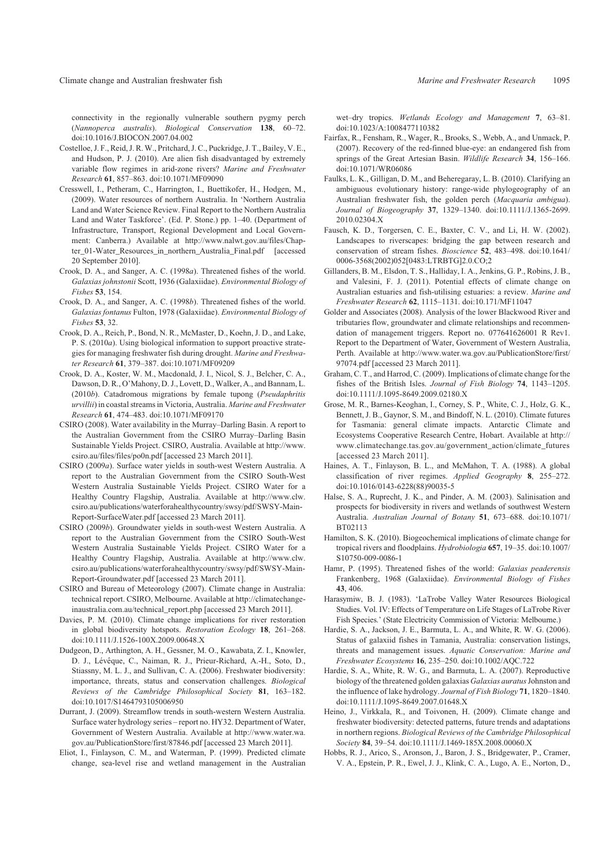Climate change and Australian freshwater fish *Marine and Freshwater Research* 1095

connectivity in the regionally vulnerable southern pygmy perch (*Nannoperca australis*). *Biological Conservation* **138**, 60–72. doi:10.1016/J.BIOCON.2007.04.002

- Costelloe, J. F., Reid, J. R. W., Pritchard, J. C., Puckridge, J. T., Bailey, V. E., and Hudson, P. J. (2010). Are alien fish disadvantaged by extremely variable flow regimes in arid-zone rivers? *Marine and Freshwater Research* **61**, 857–863. doi:10.1071/MF09090
- Cresswell, I., Petheram, C., Harrington, I., Buettikofer, H., Hodgen, M., (2009). Water resources of northern Australia. In 'Northern Australia Land and Water Science Review. Final Report to the Northern Australia Land and Water Taskforce'. (Ed. P. Stone.) pp. 1–40. (Department of Infrastructure, Transport, Regional Development and Local Government: Canberra.) Available at [http://www.nalwt.gov.au/files/Chap](http://www.nalwt.gov.au/files/Chapter_01-Water_Resources_in_northern_Australia_Final.pdf)[ter\\_01-Water\\_Resources\\_in\\_northern\\_Australia\\_Final.pdf](http://www.nalwt.gov.au/files/Chapter_01-Water_Resources_in_northern_Australia_Final.pdf) [accessed 20 September 2010].
- Crook, D. A., and Sanger, A. C. (1998*a*). Threatened fishes of the world. *Galaxias johnstonii* Scott, 1936 (Galaxiidae). *Environmental Biology of Fishes* **53**, 154.
- Crook, D. A., and Sanger, A. C. (1998*b*). Threatened fishes of the world. *Galaxias fontanus* Fulton, 1978 (Galaxiidae). *Environmental Biology of Fishes* **53**, 32.
- Crook, D. A., Reich, P., Bond, N. R., McMaster, D., Koehn, J. D., and Lake, P. S. (2010*a*). Using biological information to support proactive strategies for managing freshwater fish during drought. *Marine and Freshwater Research* **61**, 379–387. doi:10.1071/MF09209
- Crook, D. A., Koster, W. M., Macdonald, J. I., Nicol, S. J., Belcher, C. A., Dawson, D. R., O'Mahony, D. J., Lovett, D., Walker, A., and Bannam, L. (2010*b*). Catadromous migrations by female tupong (*Pseudaphritis urvillii*) in coastal streams in Victoria, Australia. *Marine and Freshwater Research* **61**, 474–483. doi:10.1071/MF09170
- CSIRO (2008). Water availability in the Murray–Darling Basin. A report to the Australian Government from the CSIRO Murray–Darling Basin Sustainable Yields Project. CSIRO, Australia. Available at [http://www.](http://www.csiro.au/files/files/po0n.pdf) [csiro.au/files/files/po0n.pdf](http://www.csiro.au/files/files/po0n.pdf) [accessed 23 March 2011].
- CSIRO (2009*a*). Surface water yields in south-west Western Australia. A report to the Australian Government from the CSIRO South-West Western Australia Sustainable Yields Project. CSIRO Water for a Healthy Country Flagship, Australia. Available at [http://www.clw.](http://www.clw.csiro.au/publications/waterforahealthycountry/swsy/pdf/SWSY-Main-Report-SurfaceWater.pdf) [csiro.au/publications/waterforahealthycountry/swsy/pdf/SWSY-Main-](http://www.clw.csiro.au/publications/waterforahealthycountry/swsy/pdf/SWSY-Main-Report-SurfaceWater.pdf)[Report-SurfaceWater.pdf](http://www.clw.csiro.au/publications/waterforahealthycountry/swsy/pdf/SWSY-Main-Report-SurfaceWater.pdf) [accessed 23 March 2011].
- CSIRO (2009*b*). Groundwater yields in south-west Western Australia. A report to the Australian Government from the CSIRO South-West Western Australia Sustainable Yields Project. CSIRO Water for a Healthy Country Flagship, Australia. Available at [http://www.clw.](http://www.clw.csiro.au/publications/waterforahealthycountry/swsy/pdf/SWSY-Main-Report-Groundwater.pdf) [csiro.au/publications/waterforahealthycountry/swsy/pdf/SWSY-Main-](http://www.clw.csiro.au/publications/waterforahealthycountry/swsy/pdf/SWSY-Main-Report-Groundwater.pdf)[Report-Groundwater.pdf](http://www.clw.csiro.au/publications/waterforahealthycountry/swsy/pdf/SWSY-Main-Report-Groundwater.pdf) [accessed 23 March 2011].
- CSIRO and Bureau of Meteorology (2007). Climate change in Australia: technical report. CSIRO, Melbourne. Available at [http://climatechange](http://climatechangeinaustralia.com.au/technical_report.php)[inaustralia.com.au/technical\\_report.php](http://climatechangeinaustralia.com.au/technical_report.php) [accessed 23 March 2011].
- Davies, P. M. (2010). Climate change implications for river restoration in global biodiversity hotspots. *Restoration Ecology* **18**, 261–268. doi:10.1111/J.1526-100X.2009.00648.X
- Dudgeon, D., Arthington, A. H., Gessner, M. O., Kawabata, Z. I., Knowler, D. J., Lévêque, C., Naiman, R. J., Prieur-Richard, A.-H., Soto, D., Stiassny, M. L. J., and Sullivan, C. A. (2006). Freshwater biodiversity: importance, threats, status and conservation challenges. *Biological Reviews of the Cambridge Philosophical Society* **81**, 163–182. doi:10.1017/S1464793105006950
- Durrant, J. (2009). Streamflow trends in south-western Western Australia. Surface water hydrology series – report no. HY32. Department of Water, Government of Western Australia. Available at [http://www.water.wa.](http://www.water.wa.gov.au/PublicationStore/first/87846.pdf) [gov.au/PublicationStore/first/87846.pdf](http://www.water.wa.gov.au/PublicationStore/first/87846.pdf) [accessed 23 March 2011].
- Eliot, I., Finlayson, C. M., and Waterman, P. (1999). Predicted climate change, sea-level rise and wetland management in the Australian

wet–dry tropics. *Wetlands Ecology and Management* **7**, 63–81. doi:10.1023/A:1008477110382

- Fairfax, R., Fensham, R., Wager, R., Brooks, S., Webb, A., and Unmack, P. (2007). Recovery of the red-finned blue-eye: an endangered fish from springs of the Great Artesian Basin. *Wildlife Research* **34**, 156–166. doi:10.1071/WR06086
- Faulks, L. K., Gilligan, D. M., and Beheregaray, L. B. (2010). Clarifying an ambiguous evolutionary history: range-wide phylogeography of an Australian freshwater fish, the golden perch (*Macquaria ambigua*). *Journal of Biogeography* **37**, 1329–1340. doi:10.1111/J.1365-2699. 2010.02304.X
- Fausch, K. D., Torgersen, C. E., Baxter, C. V., and Li, H. W. (2002). Landscapes to riverscapes: bridging the gap between research and conservation of stream fishes. *Bioscience* **52**, 483–498. doi:10.1641/ 0006-3568(2002)052[0483:LTRBTG]2.0.CO;2
- Gillanders, B. M., Elsdon, T. S., Halliday, I. A., Jenkins, G. P., Robins, J. B., and Valesini, F. J. (2011). Potential effects of climate change on Australian estuaries and fish-utilising estuaries: a review. *Marine and Freshwater Research* **62**, 1115–1131. doi:10.171/MF11047
- Golder and Associates (2008). Analysis of the lower Blackwood River and tributaries flow, groundwater and climate relationships and recommendation of management triggers. Report no. 077641626001 R Rev1. Report to the Department of Water, Government of Western Australia, Perth. Available at [http://www.water.wa.gov.au/PublicationStore/first/](http://www.water.wa.gov.au/PublicationStore/first/97074.pdf) [97074.pdf](http://www.water.wa.gov.au/PublicationStore/first/97074.pdf) [accessed 23 March 2011].
- Graham, C. T., and Harrod, C. (2009). Implications of climate change for the fishes of the British Isles. *Journal of Fish Biology* **74**, 1143–1205. doi:10.1111/J.1095-8649.2009.02180.X
- Grose, M. R., Barnes-Keoghan, I., Corney, S. P., White, C. J., Holz, G. K., Bennett, J. B., Gaynor, S. M., and Bindoff, N. L. (2010). Climate futures for Tasmania: general climate impacts. Antarctic Climate and Ecosystems Cooperative Research Centre, Hobart. Available at [http://](http://www.climatechange.tas.gov.au/government_action/climate_futures) [www.climatechange.tas.gov.au/government\\_action/climate\\_futures](http://www.climatechange.tas.gov.au/government_action/climate_futures) [accessed 23 March 2011].
- Haines, A. T., Finlayson, B. L., and McMahon, T. A. (1988). A global classification of river regimes. *Applied Geography* **8**, 255–272. doi:10.1016/0143-6228(88)90035-5
- Halse, S. A., Ruprecht, J. K., and Pinder, A. M. (2003). Salinisation and prospects for biodiversity in rivers and wetlands of southwest Western Australia. *Australian Journal of Botany* **51**, 673–688. doi:10.1071/ BT02113
- Hamilton, S. K. (2010). Biogeochemical implications of climate change for tropical rivers and floodplains. *Hydrobiologia* **657**, 19–35. doi:10.1007/ S10750-009-0086-1
- Hamr, P. (1995). Threatened fishes of the world: *Galaxias peaderensis* Frankenberg, 1968 (Galaxiidae). *Environmental Biology of Fishes* **43**, 406.
- Harasymiw, B. J. (1983). 'LaTrobe Valley Water Resources Biological Studies. Vol. IV: Effects of Temperature on Life Stages of LaTrobe River Fish Species.' (State Electricity Commission of Victoria: Melbourne.)
- Hardie, S. A., Jackson, J. E., Barmuta, L. A., and White, R. W. G. (2006). Status of galaxiid fishes in Tamania, Australia: conservation listings, threats and management issues. *Aquatic Conservation: Marine and Freshwater Ecosystems* **16**, 235–250. doi:10.1002/AQC.722
- Hardie, S. A., White, R. W. G., and Barmuta, L. A. (2007). Reproductive biology of the threatened golden galaxias *Galaxias auratus*Johnston and the influence of lake hydrology. *Journal of Fish Biology* **71**, 1820–1840. doi:10.1111/J.1095-8649.2007.01648.X
- Heino, J., Virkkala, R., and Toivonen, H. (2009). Climate change and freshwater biodiversity: detected patterns, future trends and adaptations in northern regions. *Biological Reviews of the Cambridge Philosophical Society* **84**, 39–54. doi:10.1111/J.1469-185X.2008.00060.X
- Hobbs, R. J., Arico, S., Aronson, J., Baron, J. S., Bridgewater, P., Cramer, V. A., Epstein, P. R., Ewel, J. J., Klink, C. A., Lugo, A. E., Norton, D.,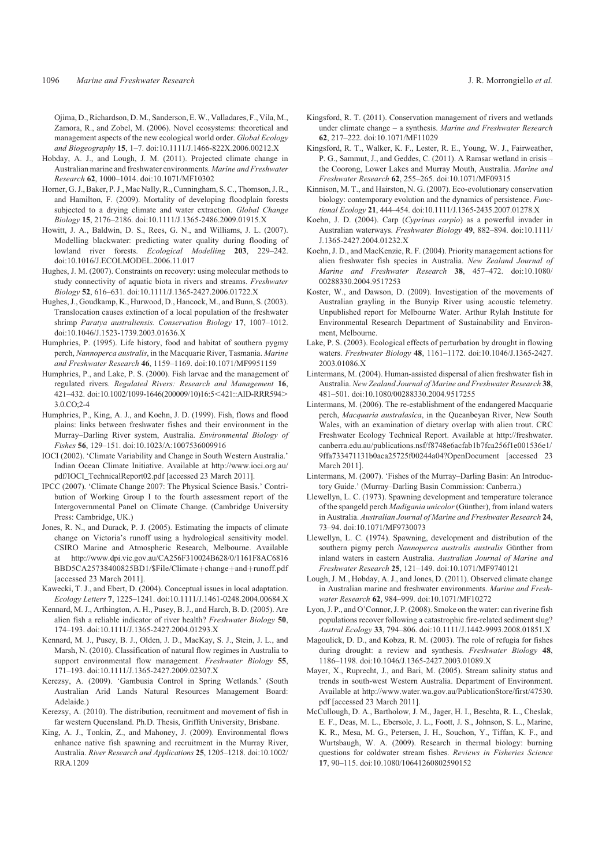Ojima, D., Richardson, D. M., Sanderson, E.W., Valladares, F., Vila, M., Zamora, R., and Zobel, M. (2006). Novel ecosystems: theoretical and management aspects of the new ecological world order. *Global Ecology and Biogeography* **15**, 1–7. doi:10.1111/J.1466-822X.2006.00212.X

- Hobday, A. J., and Lough, J. M. (2011). Projected climate change in Australian marine and freshwater environments. *Marine and Freshwater Research* **62**, 1000–1014. doi:10.1071/MF10302
- Horner, G. J., Baker, P. J., Mac Nally, R., Cunningham, S. C., Thomson, J. R., and Hamilton, F. (2009). Mortality of developing floodplain forests subjected to a drying climate and water extraction. *Global Change Biology* **15**, 2176–2186. doi:10.1111/J.1365-2486.2009.01915.X
- Howitt, J. A., Baldwin, D. S., Rees, G. N., and Williams, J. L. (2007). Modelling blackwater: predicting water quality during flooding of lowland river forests. *Ecological Modelling* **203**, 229–242. doi:10.1016/J.ECOLMODEL.2006.11.017
- Hughes, J. M. (2007). Constraints on recovery: using molecular methods to study connectivity of aquatic biota in rivers and streams. *Freshwater Biology* **52**, 616–631. doi:10.1111/J.1365-2427.2006.01722.X
- Hughes, J., Goudkamp, K., Hurwood, D., Hancock, M., and Bunn, S. (2003). Translocation causes extinction of a local population of the freshwater shrimp *Paratya australiensis. Conservation Biology* **17**, 1007–1012. doi:10.1046/J.1523-1739.2003.01636.X
- Humphries, P. (1995). Life history, food and habitat of southern pygmy perch, *Nannoperca australis*, in the Macquarie River, Tasmania. *Marine and Freshwater Research* **46**, 1159–1169. doi:10.1071/MF9951159
- Humphries, P., and Lake, P. S. (2000). Fish larvae and the management of regulated rivers. *Regulated Rivers: Research and Management* **16**, 421-432. doi:10.1002/1099-1646(200009/10)16:5<421::AID-RRR594> 3.0.CO;2-4
- Humphries, P., King, A. J., and Koehn, J. D. (1999). Fish, flows and flood plains: links between freshwater fishes and their environment in the Murray–Darling River system, Australia. *Environmental Biology of Fishes* **56**, 129–151. doi:10.1023/A:1007536009916
- IOCI (2002). 'Climate Variability and Change in South Western Australia.' Indian Ocean Climate Initiative. Available at [http://www.ioci.org.au/](http://www.ioci.org.au/pdf/IOCI_TechnicalReport02.pdf) [pdf/IOCI\\_TechnicalReport02.pdf](http://www.ioci.org.au/pdf/IOCI_TechnicalReport02.pdf) [accessed 23 March 2011].
- IPCC (2007). 'Climate Change 2007: The Physical Science Basis.' Contribution of Working Group I to the fourth assessment report of the Intergovernmental Panel on Climate Change. (Cambridge University Press: Cambridge, UK.)
- Jones, R. N., and Durack, P. J. (2005). Estimating the impacts of climate change on Victoria's runoff using a hydrological sensitivity model. CSIRO Marine and Atmospheric Research, Melbourne. Available at [http://www.dpi.vic.gov.au/CA256F310024B628/0/1161F8AC6816](http://www.dpi.vic.gov.au/CA256F310024B628/0/1161F8AC6816BBD5CA25738400825BD1/$File/Climate+change+and+runoff.pdf) [BBD5CA25738400825BD1/\\$File/Climate](http://www.dpi.vic.gov.au/CA256F310024B628/0/1161F8AC6816BBD5CA25738400825BD1/$File/Climate+change+and+runoff.pdf)+[change](http://www.dpi.vic.gov.au/CA256F310024B628/0/1161F8AC6816BBD5CA25738400825BD1/$File/Climate+change+and+runoff.pdf)+[and](http://www.dpi.vic.gov.au/CA256F310024B628/0/1161F8AC6816BBD5CA25738400825BD1/$File/Climate+change+and+runoff.pdf)+[runoff.pdf](http://www.dpi.vic.gov.au/CA256F310024B628/0/1161F8AC6816BBD5CA25738400825BD1/$File/Climate+change+and+runoff.pdf) [\[accessed 23 March 2011\].](http://www.dpi.vic.gov.au/CA256F310024B628/0/1161F8AC6816BBD5CA25738400825BD1/$File/Climate+change+and+runoff.pdf)
- Kawecki, T. J., and Ebert, D. (2004). Conceptual issues in local adaptation. *Ecology Letters* **7**, 1225–1241. doi:10.1111/J.1461-0248.2004.00684.X
- Kennard, M. J., Arthington, A. H., Pusey, B. J., and Harch, B. D. (2005). Are alien fish a reliable indicator of river health? *Freshwater Biology* **50**, 174–193. doi:10.1111/J.1365-2427.2004.01293.X
- Kennard, M. J., Pusey, B. J., Olden, J. D., MacKay, S. J., Stein, J. L., and Marsh, N. (2010). Classification of natural flow regimes in Australia to support environmental flow management. *Freshwater Biology* **55**, 171–193. doi:10.1111/J.1365-2427.2009.02307.X
- Kerezsy, A. (2009). 'Gambusia Control in Spring Wetlands.' (South Australian Arid Lands Natural Resources Management Board: Adelaide.)
- Kerezsy, A. (2010). The distribution, recruitment and movement of fish in far western Queensland. Ph.D. Thesis, Griffith University, Brisbane.
- King, A. J., Tonkin, Z., and Mahoney, J. (2009). Environmental flows enhance native fish spawning and recruitment in the Murray River, Australia. *River Research and Applications* **25**, 1205–1218. doi:10.1002/ RRA.1209
- Kingsford, R. T. (2011). Conservation management of rivers and wetlands under climate change – a synthesis. *Marine and Freshwater Research* **62**, 217–222. doi:10.1071/MF11029
- Kingsford, R. T., Walker, K. F., Lester, R. E., Young, W. J., Fairweather, P. G., Sammut, J., and Geddes, C. (2011). A Ramsar wetland in crisis – the Coorong, Lower Lakes and Murray Mouth, Australia. *Marine and Freshwater Research* **62**, 255–265. doi:10.1071/MF09315
- Kinnison, M. T., and Hairston, N. G. (2007). Eco-evolutionary conservation biology: contemporary evolution and the dynamics of persistence. *Functional Ecology* **21**, 444–454. doi:10.1111/J.1365-2435.2007.01278.X
- Koehn, J. D. (2004). Carp (*Cyprinus carpio*) as a powerful invader in Australian waterways. *Freshwater Biology* **49**, 882–894. doi:10.1111/ J.1365-2427.2004.01232.X
- Koehn, J. D., and MacKenzie, R. F. (2004). Priority management actions for alien freshwater fish species in Australia. *New Zealand Journal of Marine and Freshwater Research* **38**, 457–472. doi:10.1080/ 00288330.2004.9517253
- Koster, W., and Dawson, D. (2009). Investigation of the movements of Australian grayling in the Bunyip River using acoustic telemetry. Unpublished report for Melbourne Water. Arthur Rylah Institute for Environmental Research Department of Sustainability and Environment, Melbourne.
- Lake, P. S. (2003). Ecological effects of perturbation by drought in flowing waters. *Freshwater Biology* **48**, 1161–1172. doi:10.1046/J.1365-2427. 2003.01086.X
- Lintermans, M. (2004). Human-assisted dispersal of alien freshwater fish in Australia. *New Zealand Journal of Marine and Freshwater Research* **38**, 481–501. doi:10.1080/00288330.2004.9517255
- Lintermans, M. (2006). The re-establishment of the endangered Macquarie perch, *Macquaria australasica*, in the Queanbeyan River, New South Wales, with an examination of dietary overlap with alien trout. CRC Freshwater Ecology Technical Report. Available at [http://freshwater.](http://freshwater.canberra.edu.au/publications.nsf/f8748e6acfab1b7fca256f1e001536e1/9ffa733471131b0aca25725f00244a04?OpenDocument) [canberra.edu.au/publications.nsf/f8748e6acfab1b7fca256f1e001536e1/](http://freshwater.canberra.edu.au/publications.nsf/f8748e6acfab1b7fca256f1e001536e1/9ffa733471131b0aca25725f00244a04?OpenDocument) [9ffa733471131b0aca25725f00244a04?OpenDocument](http://freshwater.canberra.edu.au/publications.nsf/f8748e6acfab1b7fca256f1e001536e1/9ffa733471131b0aca25725f00244a04?OpenDocument) [accessed 23 March 2011].
- Lintermans, M. (2007). 'Fishes of the Murray–Darling Basin: An Introductory Guide.' (Murray–Darling Basin Commission: Canberra.)
- Llewellyn, L. C. (1973). Spawning development and temperature tolerance of the spangeld perch *Madigania unicolor* (Günther), from inland waters in Australia. *Australian Journal of Marine and Freshwater Research* **24**, 73–94. doi:10.1071/MF9730073
- Llewellyn, L. C. (1974). Spawning, development and distribution of the southern pigmy perch *Nannoperca australis australis* Günther from inland waters in eastern Australia. *Australian Journal of Marine and Freshwater Research* **25**, 121–149. doi:10.1071/MF9740121
- Lough, J. M., Hobday, A. J., and Jones, D. (2011). Observed climate change in Australian marine and freshwater environments. *Marine and Freshwater Research* **62**, 984–999. doi:10.1071/MF10272
- Lyon, J. P., and O'Connor, J. P. (2008). Smoke on the water: can riverine fish populations recover following a catastrophic fire-related sediment slug? *Austral Ecology* **33**, 794–806. doi:10.1111/J.1442-9993.2008.01851.X
- Magoulick, D. D., and Kobza, R. M. (2003). The role of refugia for fishes during drought: a review and synthesis. *Freshwater Biology* **48**, 1186–1198. doi:10.1046/J.1365-2427.2003.01089.X
- Mayer, X., Ruprecht, J., and Bari, M. (2005). Stream salinity status and trends in south-west Western Australia. Department of Environment. Available at [http://www.water.wa.gov.au/PublicationStore/first/47530.](http://www.water.wa.gov.au/PublicationStore/first/47530.pdf) [pdf](http://www.water.wa.gov.au/PublicationStore/first/47530.pdf) [accessed 23 March 2011].
- McCullough, D. A., Bartholow, J. M., Jager, H. I., Beschta, R. L., Cheslak, E. F., Deas, M. L., Ebersole, J. L., Foott, J. S., Johnson, S. L., Marine, K. R., Mesa, M. G., Petersen, J. H., Souchon, Y., Tiffan, K. F., and Wurtsbaugh, W. A. (2009). Research in thermal biology: burning questions for coldwater stream fishes. *Reviews in Fisheries Science* **17**, 90–115. doi:10.1080/10641260802590152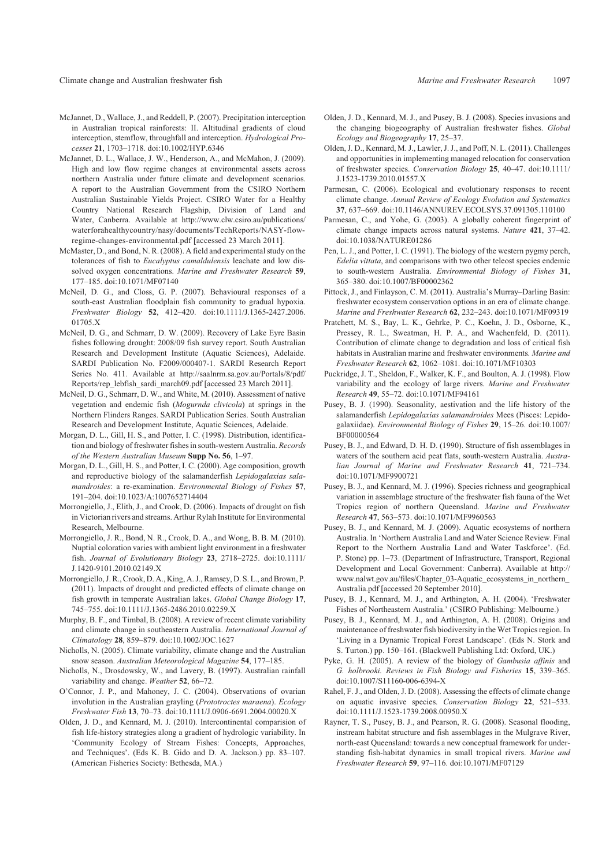- McJannet, D., Wallace, J., and Reddell, P. (2007). Precipitation interception in Australian tropical rainforests: II. Altitudinal gradients of cloud interception, stemflow, throughfall and interception. *Hydrological Processes* **21**, 1703–1718. doi:10.1002/HYP.6346
- McJannet, D. L., Wallace, J. W., Henderson, A., and McMahon, J. (2009). High and low flow regime changes at environmental assets across northern Australia under future climate and development scenarios. A report to the Australian Government from the CSIRO Northern Australian Sustainable Yields Project. CSIRO Water for a Healthy Country National Research Flagship, Division of Land and Water, Canberra. Available at [http://www.clw.csiro.au/publications/](http://www.clw.csiro.au/publications/waterforahealthycountry/nasy/documents/TechReports/NASY-flow-regime-changes-environmental.pdf) [waterforahealthycountry/nasy/documents/TechReports/NASY-flow](http://www.clw.csiro.au/publications/waterforahealthycountry/nasy/documents/TechReports/NASY-flow-regime-changes-environmental.pdf)[regime-changes-environmental.pdf](http://www.clw.csiro.au/publications/waterforahealthycountry/nasy/documents/TechReports/NASY-flow-regime-changes-environmental.pdf) [accessed 23 March 2011].
- McMaster, D., and Bond, N. R. (2008). A field and experimental study on the tolerances of fish to *Eucalyptus camaldulensis* leachate and low dissolved oxygen concentrations. *Marine and Freshwater Research* **59**, 177–185. doi:10.1071/MF07140
- McNeil, D. G., and Closs, G. P. (2007). Behavioural responses of a south-east Australian floodplain fish community to gradual hypoxia. *Freshwater Biology* **52**, 412–420. doi:10.1111/J.1365-2427.2006. 01705.X
- McNeil, D. G., and Schmarr, D. W. (2009). Recovery of Lake Eyre Basin fishes following drought: 2008/09 fish survey report. South Australian Research and Development Institute (Aquatic Sciences), Adelaide. SARDI Publication No. F2009/000407-1. SARDI Research Report Series No. 411. Available at [http://saalnrm.sa.gov.au/Portals/8/pdf/](http://saalnrm.sa.gov.au/Portals/8/pdf/Reports/rep_lebfish_sardi_march09.pdf) [Reports/rep\\_lebfish\\_sardi\\_march09.pdf](http://saalnrm.sa.gov.au/Portals/8/pdf/Reports/rep_lebfish_sardi_march09.pdf) [accessed 23 March 2011].
- McNeil, D. G., Schmarr, D. W., and White, M. (2010). Assessment of native vegetation and endemic fish (*Mogurnda clivicola*) at springs in the Northern Flinders Ranges. SARDI Publication Series. South Australian Research and Development Institute, Aquatic Sciences, Adelaide.
- Morgan, D. L., Gill, H. S., and Potter, I. C. (1998). Distribution, identification and biology of freshwater fishes in south-western Australia. *Records of the Western Australian Museum* **Supp No. 56**, 1–97.
- Morgan, D. L., Gill, H. S., and Potter, I. C. (2000). Age composition, growth and reproductive biology of the salamanderfish *Lepidogalaxias salamandroides*: a re-examination. *Environmental Biology of Fishes* **57**, 191–204. doi:10.1023/A:1007652714404
- Morrongiello, J., Elith, J., and Crook, D. (2006). Impacts of drought on fish in Victorian rivers and streams. Arthur Rylah Institute for Environmental Research, Melbourne.
- Morrongiello, J. R., Bond, N. R., Crook, D. A., and Wong, B. B. M. (2010). Nuptial coloration varies with ambient light environment in a freshwater fish. *Journal of Evolutionary Biology* **23**, 2718–2725. doi:10.1111/ J.1420-9101.2010.02149.X
- Morrongiello, J. R., Crook, D. A., King, A. J., Ramsey, D. S. L., and Brown, P. (2011). Impacts of drought and predicted effects of climate change on fish growth in temperate Australian lakes. *Global Change Biology* **17**, 745–755. doi:10.1111/J.1365-2486.2010.02259.X
- Murphy, B. F., and Timbal, B. (2008). A review of recent climate variability and climate change in southeastern Australia. *International Journal of Climatology* **28**, 859–879. doi:10.1002/JOC.1627
- Nicholls, N. (2005). Climate variability, climate change and the Australian snow season. *Australian Meteorological Magazine* **54**, 177–185.
- Nicholls, N., Drosdowsky, W., and Lavery, B. (1997). Australian rainfall variability and change. *Weather* **52**, 66–72.
- O'Connor, J. P., and Mahoney, J. C. (2004). Observations of ovarian involution in the Australian grayling (*Prototroctes maraena*). *Ecology Freshwater Fish* **13**, 70–73. doi:10.1111/J.0906-6691.2004.00020.X
- Olden, J. D., and Kennard, M. J. (2010). Intercontinental comparision of fish life-history strategies along a gradient of hydrologic variability. In 'Community Ecology of Stream Fishes: Concepts, Approaches, and Techniques'. (Eds K. B. Gido and D. A. Jackson.) pp. 83–107. (American Fisheries Society: Bethesda, MA.)
- Olden, J. D., Kennard, M. J., and Pusey, B. J. (2008). Species invasions and the changing biogeography of Australian freshwater fishes. *Global Ecology and Biogeography* **17**, 25–37.
- Olden, J. D., Kennard, M. J., Lawler, J. J., and Poff, N. L. (2011). Challenges and opportunities in implementing managed relocation for conservation of freshwater species. *Conservation Biology* **25**, 40–47. doi:10.1111/ J.1523-1739.2010.01557.X
- Parmesan, C. (2006). Ecological and evolutionary responses to recent climate change. *Annual Review of Ecology Evolution and Systematics* **37**, 637–669. doi:10.1146/ANNUREV.ECOLSYS.37.091305.110100
- Parmesan, C., and Yohe, G. (2003). A globally coherent fingerprint of climate change impacts across natural systems. *Nature* **421**, 37–42. doi:10.1038/NATURE01286
- Pen, L. J., and Potter, I. C. (1991). The biology of the western pygmy perch, *Edelia vittata*, and comparisons with two other teleost species endemic to south-western Australia. *Environmental Biology of Fishes* **31**, 365–380. doi:10.1007/BF00002362
- Pittock, J., and Finlayson, C. M. (2011). Australia's Murray–Darling Basin: freshwater ecosystem conservation options in an era of climate change. *Marine and Freshwater Research* **62**, 232–243. doi:10.1071/MF09319
- Pratchett, M. S., Bay, L. K., Gehrke, P. C., Koehn, J. D., Osborne, K., Pressey, R. L., Sweatman, H. P. A., and Wachenfeld, D. (2011). Contribution of climate change to degradation and loss of critical fish habitats in Australian marine and freshwater environments. *Marine and Freshwater Research* **62**, 1062–1081. doi:10.1071/MF10303
- Puckridge, J. T., Sheldon, F., Walker, K. F., and Boulton, A. J. (1998). Flow variability and the ecology of large rivers. *Marine and Freshwater Research* **49**, 55–72. doi:10.1071/MF94161
- Pusey, B. J. (1990). Seasonality, aestivation and the life history of the salamanderfish *Lepidogalaxias salamandroides* Mees (Pisces: Lepidogalaxiidae). *Environmental Biology of Fishes* **29**, 15–26. doi:10.1007/ BF00000564
- Pusey, B. J., and Edward, D. H. D. (1990). Structure of fish assemblages in waters of the southern acid peat flats, south-western Australia. *Australian Journal of Marine and Freshwater Research* **41**, 721–734. doi:10.1071/MF9900721
- Pusey, B. J., and Kennard, M. J. (1996). Species richness and geographical variation in assemblage structure of the freshwater fish fauna of the Wet Tropics region of northern Queensland. *Marine and Freshwater Research* **47**, 563–573. doi:10.1071/MF9960563
- Pusey, B. J., and Kennard, M. J. (2009). Aquatic ecosystems of northern Australia. In 'Northern Australia Land and Water Science Review. Final Report to the Northern Australia Land and Water Taskforce'. (Ed. P. Stone) pp. 1–73. (Department of Infrastructure, Transport, Regional Development and Local Government: Canberra). Available at [http://](http://www.nalwt.gov.au/files/Chapter_03-Aquatic_ecosystems_in_northern_Australia.pdf) [www.nalwt.gov.au/files/Chapter\\_03-Aquatic\\_ecosystems\\_in\\_northern\\_](http://www.nalwt.gov.au/files/Chapter_03-Aquatic_ecosystems_in_northern_Australia.pdf) [Australia.pdf](http://www.nalwt.gov.au/files/Chapter_03-Aquatic_ecosystems_in_northern_Australia.pdf) [accessed 20 September 2010].
- Pusey, B. J., Kennard, M. J., and Arthington, A. H. (2004). 'Freshwater Fishes of Northeastern Australia.' (CSIRO Publishing: Melbourne.)
- Pusey, B. J., Kennard, M. J., and Arthington, A. H. (2008). Origins and maintenance of freshwater fish biodiversity in the Wet Tropics region. In 'Living in a Dynamic Tropical Forest Landscape'. (Eds N. Stork and S. Turton.) pp. 150–161. (Blackwell Publishing Ltd: Oxford, UK.)
- Pyke, G. H. (2005). A review of the biology of *Gambusia affinis* and *G. holbrooki. Reviews in Fish Biology and Fisheries* **15**, 339–365. doi:10.1007/S11160-006-6394-X
- Rahel, F. J., and Olden, J. D. (2008). Assessing the effects of climate change on aquatic invasive species. *Conservation Biology* **22**, 521–533. doi:10.1111/J.1523-1739.2008.00950.X
- Rayner, T. S., Pusey, B. J., and Pearson, R. G. (2008). Seasonal flooding, instream habitat structure and fish assemblages in the Mulgrave River, north-east Queensland: towards a new conceptual framework for understanding fish-habitat dynamics in small tropical rivers. *Marine and Freshwater Research* **59**, 97–116. doi:10.1071/MF07129